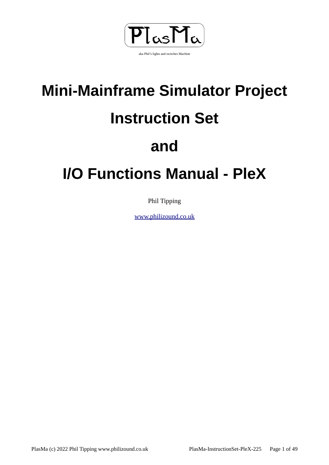

# **Mini-Mainframe Simulator Project Instruction Set**

# **and**

# **I/O Functions Manual - PleX**

Phil Tipping

[www.philizound.co.uk](http://www.philizound.co.uk/)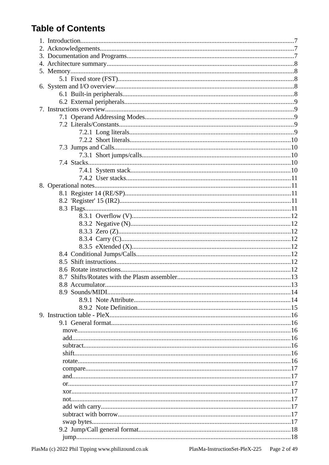# **Table of Contents**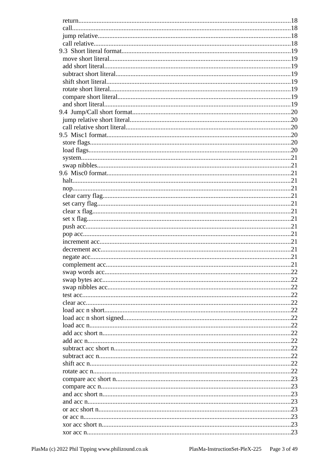| .21 |
|-----|
|     |
|     |
|     |
|     |
|     |
|     |
|     |
|     |
|     |
|     |
|     |
|     |
|     |
|     |
|     |
|     |
|     |
|     |
|     |
|     |
|     |
|     |
|     |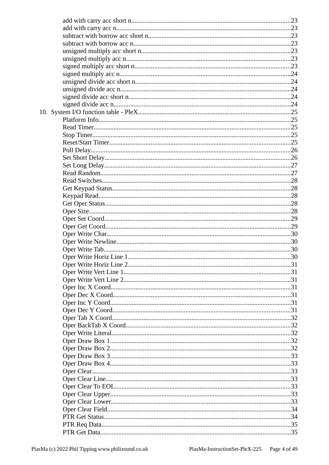| Oper Write Horiz Line 2 | .31 |
|-------------------------|-----|
|                         |     |
|                         |     |
|                         |     |
|                         |     |
|                         |     |
|                         |     |
|                         |     |
|                         |     |
|                         |     |
|                         |     |
|                         |     |
|                         |     |
|                         |     |
|                         |     |
|                         |     |
|                         |     |
|                         |     |
|                         |     |
|                         |     |
|                         |     |
|                         |     |
|                         |     |
|                         |     |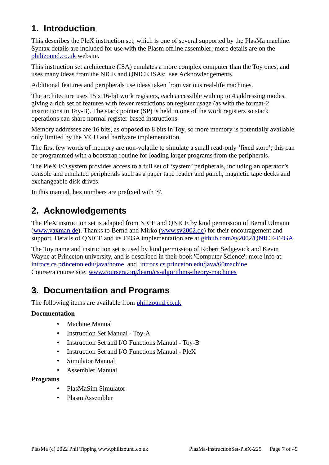# <span id="page-6-2"></span>**1. Introduction**

This describes the PleX instruction set, which is one of several supported by the PlasMa machine. Syntax details are included for use with the Plasm offline assembler; more details are on the [philizound.co.uk](http://www.philizound.co.uk/) website.

This instruction set architecture (ISA) emulates a more complex computer than the Toy ones, and uses many ideas from the NICE and QNICE ISAs; see [Acknowledgements.](#page-6-1)

Additional features and peripherals use ideas taken from various real-life machines.

The architecture uses 15 x 16-bit work registers, each accessible with up to 4 addressing modes, giving a rich set of features with fewer restrictions on register usage (as with the format-2 instructions in Toy-B). The stack pointer (SP) is held in one of the work registers so stack operations can share normal register-based instructions.

Memory addresses are 16 bits, as opposed to 8 bits in Toy, so more memory is potentially available, only limited by the MCU and hardware implementation.

The first few words of memory are non-volatile to simulate a small read-only 'fixed store'; this can be programmed with a bootstrap routine for loading larger programs from the peripherals.

The PleX I/O system provides access to a full set of 'system' peripherals, including an operator's console and emulated peripherals such as a paper tape reader and punch, magnetic tape decks and exchangeable disk drives.

In this manual, hex numbers are prefixed with '\$'.

# <span id="page-6-1"></span>**2. Acknowledgements**

The PleX instruction set is adapted from NICE and QNICE by kind permission of Bernd Ulmann ([www.vaxman.de](http://www.vaxman.de/)). Thanks to Bernd and Mirko [\(www.sy2002.de\)](http://www.sy2002.de/) for their encouragement and support. Details of QNICE and its FPGA implementation are at [github.com/sy2002/QNICE-FPGA.](https://github.com/sy2002/QNICE-FPGA)

The Toy name and instruction set is used by kind permission of Robert Sedgewick and Kevin Wayne at Princeton university, and is described in their book 'Computer Science'; more info at: [introcs.cs.princeton.edu/java/home](https://introcs.cs.princeton.edu/java/home) and [introcs.cs.princeton.edu/java/60machine](https://introcs.cs.princeton.edu/java/60machine) Coursera course site: [www.coursera.org/learn/cs-algorithms-theory-machines](https://www.coursera.org/learn/cs-algorithms-theory-machines)

# <span id="page-6-0"></span>**3. Documentation and Programs**

The following items are available from [philizound.co.uk](http://www.philizound.co.uk/)

#### **Documentation**

- Machine Manual
- Instruction Set Manual Toy-A
- Instruction Set and I/O Functions Manual Toy-B
- Instruction Set and I/O Functions Manual PleX
- Simulator Manual
- Assembler Manual

#### **Programs**

- PlasMaSim Simulator
- Plasm Assembler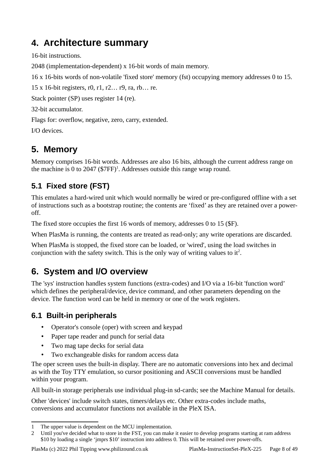# <span id="page-7-4"></span>**4. Architecture summary**

16-bit instructions.

2048 (implementation-dependent) x 16-bit words of main memory.

16 x 16-bits words of non-volatile 'fixed store' memory (fst) occupying memory addresses 0 to 15.

15 x 16-bit registers, r0, r1, r2… r9, ra, rb… re.

Stack pointer (SP) uses register 14 (re).

32-bit accumulator.

Flags for: overflow, negative, zero, carry, extended.

I/O devices.

# <span id="page-7-3"></span>**5. Memory**

Memory comprises 16-bit words. Addresses are also 16 bits, although the current address range on the machine is 0 to 2047 ( $$7FF$ )<sup>[1](#page-7-5)</sup>. Addresses outside this range wrap round.

# <span id="page-7-2"></span>**5.1 Fixed store (FST)**

This emulates a hard-wired unit which would normally be wired or pre-configured offline with a set of instructions such as a bootstrap routine; the contents are 'fixed' as they are retained over a poweroff.

The fixed store occupies the first 16 words of memory, addresses 0 to 15 (\$F).

When PlasMa is running, the contents are treated as read-only; any write operations are discarded.

When PlasMa is stopped, the fixed store can be loaded, or 'wired', using the load switches in conjunction with the safety switch. This is the only way of writing values to it<sup>[2](#page-7-6)</sup>.

# <span id="page-7-1"></span>**6. System and I/O overview**

The 'sys' instruction handles system functions (extra-codes) and I/O via a 16-bit 'function word' which defines the peripheral/device, device command, and other parameters depending on the device. The function word can be held in memory or one of the work registers.

#### **6.1 Built-in peripherals**

- <span id="page-7-0"></span>• Operator's console (oper) with screen and keypad
- Paper tape reader and punch for serial data
- Two mag tape decks for serial data
- Two exchangeable disks for random access data

The oper screen uses the built-in display. There are no automatic conversions into hex and decimal as with the Toy TTY emulation, so cursor positioning and ASCII conversions must be handled within your program.

All built-in storage peripherals use individual plug-in sd-cards; see the Machine Manual for details.

Other 'devices' include switch states, timers/delays etc. Other extra-codes include maths, conversions and accumulator functions not available in the PleX ISA.

<span id="page-7-5"></span><sup>1</sup> The upper value is dependent on the MCU implementation.

<span id="page-7-6"></span><sup>2</sup> Until you've decided what to store in the FST, you can make it easier to develop programs starting at ram address \$10 by loading a single 'jmprs \$10' instruction into address 0. This will be retained over power-offs.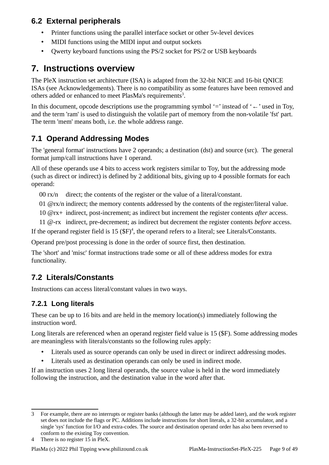#### **6.2 External peripherals**

- <span id="page-8-4"></span>• Printer functions using the parallel interface socket or other 5v-level devices
- MIDI functions using the MIDI input and output sockets
- Qwerty keyboard functions using the PS/2 socket for PS/2 or USB keyboards

# <span id="page-8-3"></span>**7. Instructions overview**

The PleX instruction set architecture (ISA) is adapted from the 32-bit NICE and 16-bit QNICE ISAs (see [Acknowledgements](#page-6-1)). There is no compatibility as some features have been removed and others added or enhanced to meet PlasMa's requirements<sup>[3](#page-8-5)</sup>.

In this document, opcode descriptions use the programming symbol '=' instead of '←' used in Toy, and the term 'ram' is used to distinguish the volatile part of memory from the non-volatile 'fst' part. The term 'mem' means both, i.e. the whole address range.

# <span id="page-8-2"></span>**7.1 Operand Addressing Modes**

The 'general format' instructions have 2 operands; a destination (dst) and source (src). The general format jump/call instructions have 1 operand.

All of these operands use 4 bits to access work registers similar to Toy, but the addressing mode (such as direct or indirect) is defined by 2 additional bits, giving up to 4 possible formats for each operand:

00 rx/n direct; the contents of the register or the value of a literal/constant.

01  $\omega$ rx/n indirect; the memory contents addressed by the contents of the register/literal value.

10 @rx+ indirect, post-increment; as indirect but increment the register contents *after* access.

11 @-rx indirect, pre-decrement; as indirect but decrement the register contents *before* access.

If the operand register field is  $15$  ( $F$ )<sup>[4](#page-8-6)</sup>, the operand refers to a literal; see [Literals/Constants](#page-8-1).

Operand pre/post processing is done in the order of source first, then destination.

The 'short' and 'misc' format instructions trade some or all of these address modes for extra functionality.

# <span id="page-8-1"></span>**7.2 Literals/Constants**

Instructions can access literal/constant values in two ways.

#### <span id="page-8-0"></span>**7.2.1 Long literals**

These can be up to 16 bits and are held in the memory location(s) immediately following the instruction word.

Long literals are referenced when an operand register field value is 15 (\$F). Some addressing modes are meaningless with literals/constants so the following rules apply:

- Literals used as source operands can only be used in direct or indirect addressing modes.
- Literals used as destination operands can only be used in indirect mode.

If an instruction uses 2 long literal operands, the source value is held in the word immediately following the instruction, and the destination value in the word after that.

<span id="page-8-5"></span><sup>3</sup> For example, there are no interrupts or register banks (although the latter may be added later), and the work register set does not include the flags or PC. Additions include instructions for short literals, a 32-bit accumulator, and a single 'sys' function for I/O and extra-codes. The source and destination operand order has also been reversed to conform to the existing Toy convention.

<span id="page-8-6"></span><sup>4</sup> There is no register 15 in PleX.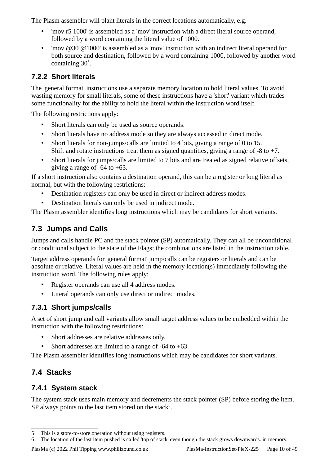The Plasm assembler will plant literals in the correct locations automatically, e.g.

- 'mov r5 1000' is assembled as a 'mov' instruction with a direct literal source operand, followed by a word containing the literal value of 1000.
- 'mov @30 @1000' is assembled as a 'mov' instruction with an indirect literal operand for both source and destination, followed by a word containing 1000, followed by another word containing  $30<sup>5</sup>$  $30<sup>5</sup>$  $30<sup>5</sup>$ .

#### <span id="page-9-4"></span>**7.2.2 Short literals**

The 'general format' instructions use a separate memory location to hold literal values. To avoid wasting memory for small literals, some of these instructions have a 'short' variant which trades some functionality for the ability to hold the literal within the instruction word itself.

The following restrictions apply:

- Short literals can only be used as source operands.
- Short literals have no address mode so they are always accessed in direct mode.
- Short literals for non-jumps/calls are limited to 4 bits, giving a range of 0 to 15. Shift and rotate instructions treat them as signed quantities, giving a range of  $-8$  to  $+7$ .
- Short literals for jumps/calls are limited to 7 bits and are treated as signed relative offsets, giving a range of  $-64$  to  $+63$ .

If a short instruction also contains a destination operand, this can be a register or long literal as normal, but with the following restrictions:

- Destination registers can only be used in direct or indirect address modes.
- Destination literals can only be used in indirect mode.

The Plasm assembler identifies long instructions which may be candidates for short variants.

# <span id="page-9-3"></span>**7.3 Jumps and Calls**

Jumps and calls handle PC and the stack pointer (SP) automatically. They can all be unconditional or conditional subject to the state of the [Flags](#page-10-0); the combinations are listed in the instruction table.

Target address operands for 'general format' jump/calls can be registers or literals and can be absolute or relative. Literal values are held in the memory location(s) immediately following the instruction word. The following rules apply:

- Register operands can use all 4 address modes.
- <span id="page-9-2"></span>• Literal operands can only use direct or indirect modes.

# **7.3.1 Short jumps/calls**

A set of short jump and call variants allow small target address values to be embedded within the instruction with the following restrictions:

- Short addresses are relative addresses only.
- Short addresses are limited to a range of -64 to +63.

The Plasm assembler identifies long instructions which may be candidates for short variants.

# <span id="page-9-1"></span>**7.4 Stacks**

# <span id="page-9-0"></span>**7.4.1 System stack**

The system stack uses main memory and decrements the stack pointer (SP) before storing the item. SP always points to the last item stored on the stack $6$ .

<span id="page-9-5"></span><sup>5</sup> This is a store-to-store operation without using registers.

<span id="page-9-6"></span><sup>6</sup> The location of the last item pushed is called 'top of stack' even though the stack grows downwards. in memory.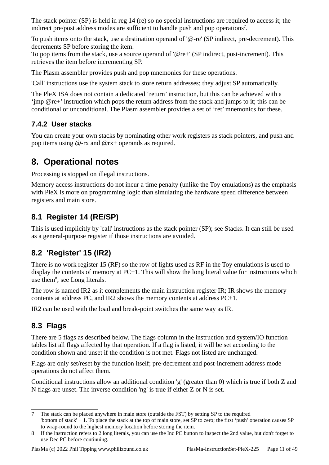The stack pointer (SP) is held in reg 14 (re) so no special instructions are required to access it; the indirect pre/post address modes are sufficient to handle push and pop operations<sup>[7](#page-10-5)</sup>.

To push items onto the stack, use a destination operand of '@-re' (SP indirect, pre-decrement). This decrements SP before storing the item.

To pop items from the stack, use a source operand of '@re+' (SP indirect, post-increment). This retrieves the item before incrementing SP.

The Plasm assembler provides push and pop mnemonics for these operations.

'Call' instructions use the system stack to store return addresses; they adjust SP automatically.

The PleX ISA does not contain a dedicated 'return' instruction, but this can be achieved with a 'jmp @re+' instruction which pops the return address from the stack and jumps to it; this can be conditional or unconditional. The Plasm assembler provides a set of 'ret' mnemonics for these.

#### <span id="page-10-4"></span>**7.4.2 User stacks**

You can create your own stacks by nominating other work registers as stack pointers, and push and pop items using  $(\omega$ -rx and  $(\omega)$ rx+ operands as required.

# <span id="page-10-3"></span>**8. Operational notes**

Processing is stopped on illegal instructions.

Memory access instructions do not incur a time penalty (unlike the Toy emulations) as the emphasis with PleX is more on programming logic than simulating the hardware speed difference between registers and main store.

#### <span id="page-10-2"></span>**8.1 Register 14 (RE/SP)**

This is used implicitly by 'call' instructions as the stack pointer (SP); see [Stacks](#page-9-1). It can still be used as a general-purpose register if those instructions are avoided.

#### <span id="page-10-1"></span>**8.2 'Register' 15 (IR2)**

There is no work register 15 (RF) so the row of lights used as RF in the Toy emulations is used to display the contents of memory at PC+1. This will show the long literal value for instructions which use them<sup>[8](#page-10-6)</sup>; see [Long literals](#page-8-0).

The row is named IR2 as it complements the main instruction register IR; IR shows the memory contents at address PC, and IR2 shows the memory contents at address PC+1.

IR2 can be used with the load and break-point switches the same way as IR.

#### <span id="page-10-0"></span>**8.3 Flags**

There are 5 flags as described below. The flags column in the instruction and system/IO function tables list all flags affected by that operation. If a flag is listed, it will be set according to the condition shown and unset if the condition is not met. Flags not listed are unchanged.

Flags are only set/reset by the function itself; pre-decrement and post-increment address mode operations do not affect them.

Conditional instructions allow an additional condition 'g' (greater than 0) which is true if both Z and N flags are unset. The inverse condition 'ng' is true if either Z or N is set.

<span id="page-10-5"></span><sup>7</sup> The stack can be placed anywhere in main store (outside the FST) by setting SP to the required 'bottom of stack' + 1. To place the stack at the top of main store, set SP to zero; the first 'push' operation causes SP to wrap-round to the highest memory location before storing the item.

<span id="page-10-6"></span><sup>8</sup> If the instruction refers to 2 long literals, you can use the Inc PC button to inspect the 2nd value, but don't forget to use Dec PC before continuing.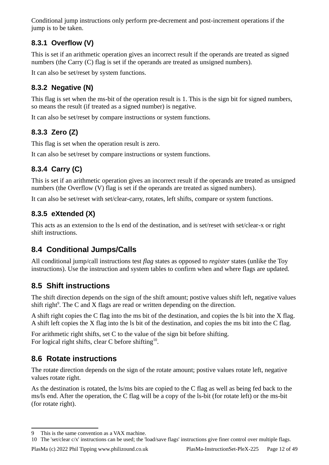Conditional jump instructions only perform pre-decrement and post-increment operations if the jump is to be taken.

#### <span id="page-11-7"></span>**8.3.1 Overflow (V)**

This is set if an arithmetic operation gives an incorrect result if the operands are treated as signed numbers (the [Carry \(C\)](#page-11-4) flag is set if the operands are treated as unsigned numbers).

It can also be set/reset by system functions.

#### <span id="page-11-6"></span>**8.3.2 Negative (N)**

This flag is set when the ms-bit of the operation result is 1. This is the sign bit for signed numbers, so means the result (if treated as a signed number) is negative.

It can also be set/reset by compare instructions or system functions.

#### <span id="page-11-5"></span>**8.3.3 Zero (Z)**

This flag is set when the operation result is zero.

It can also be set/reset by compare instructions or system functions.

#### <span id="page-11-4"></span>**8.3.4 Carry (C)**

This is set if an arithmetic operation gives an incorrect result if the operands are treated as unsigned numbers (the [Overflow \(V\)](#page-11-7) flag is set if the operands are treated as signed numbers).

It can also be set/reset with set/clear-carry, rotates, left shifts, compare or system functions.

#### <span id="page-11-3"></span>**8.3.5 eXtended (X)**

This acts as an extension to the ls end of the destination, and is set/reset with set/clear-x or right shift instructions.

#### <span id="page-11-2"></span>**8.4 Conditional Jumps/Calls**

All conditional jump/call instructions test *flag* states as opposed to *register* states (unlike the Toy instructions). Use the instruction and system tables to confirm when and where flags are updated.

#### <span id="page-11-1"></span>**8.5 Shift instructions**

The shift direction depends on the sign of the shift amount; postive values shift left, negative values shift right<sup>[9](#page-11-8)</sup>. The C and X flags are read or written depending on the direction.

A shift right copies the C flag into the ms bit of the destination, and copies the ls bit into the X flag. A shift left copies the X flag into the ls bit of the destination, and copies the ms bit into the C flag.

For arithmetic right shifts, set C to the value of the sign bit before shifting. For logical right shifts, clear C before shifting $10$ .

#### <span id="page-11-0"></span>**8.6 Rotate instructions**

The rotate direction depends on the sign of the rotate amount; postive values rotate left, negative values rotate right.

As the destination is rotated, the ls/ms bits are copied to the C flag as well as being fed back to the ms/ls end. After the operation, the C flag will be a copy of the ls-bit (for rotate left) or the ms-bit (for rotate right).

<span id="page-11-8"></span><sup>9</sup> This is the same convention as a VAX machine.

<span id="page-11-9"></span><sup>10</sup> The 'set/clear c/x' instructions can be used; the 'load/save flags' instructions give finer control over multiple flags.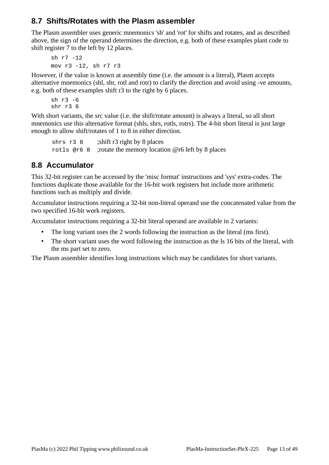#### <span id="page-12-1"></span>**8.7 Shifts/Rotates with the Plasm assembler**

The Plasm assembler uses generic mnemonics 'sh' and 'rot' for shifts and rotates, and as described above, the sign of the operand determines the direction, e.g. both of these examples plant code to shift register 7 to the left by 12 places.

sh r7 -12 mov r3 -12, sh r7 r3

However, if the value is known at assembly time (i.e. the amount is a literal), Plasm accepts alternative mnemonics (shl, shr, rotl and rotr) to clarify the direction and avoid using -ve amounts, e.g. both of these examples shift r3 to the right by 6 places.

sh r3 -6 shr r3 6

With short variants, the src value (i.e. the shift/rotate amount) is always a literal, so all short mnemonics use this alternative format (shls, shrs, rotls, rotrs). The 4-bit short literal is just large enough to allow shift/rotates of 1 to 8 in either direction.

shrs r3 8 ;shift r3 right by 8 places rotls @r6 8 ;rotate the memory location @r6 left by 8 places

#### <span id="page-12-0"></span>**8.8 Accumulator**

This 32-bit register can be accessed by the 'misc format' instructions and 'sys' extra-codes. The functions duplicate those available for the 16-bit work registers but include more arithmetic functions such as multiply and divide.

Accumulator instructions requiring a 32-bit non-literal operand use the concatenated value from the two specified 16-bit work registers.

Accumulator instructions requiring a 32-bit literal operand are available in 2 variants:

- The long variant uses the 2 words following the instruction as the literal (ms first).
- The short variant uses the word following the instruction as the ls 16 bits of the literal, with the ms part set to zero.

The Plasm assembler identifies long instructions which may be candidates for short variants.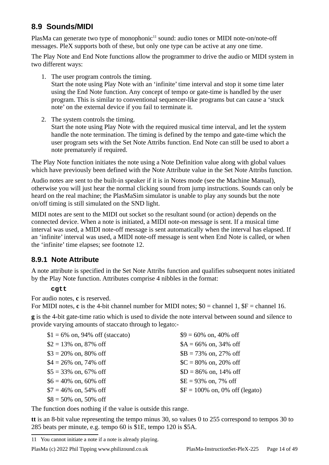#### <span id="page-13-1"></span>**8.9 Sounds/MIDI**

PlasMa can generate two type of monophonic $11$  sound: audio tones or MIDI note-on/note-off messages. PleX supports both of these, but only one type can be active at any one time.

The [Play Note](#page-43-3) and [End Note](#page-43-2) functions allow the programmer to drive the audio or MIDI system in two different ways:

- 1. The user program controls the timing. Start the note using [Play Note](#page-43-3) with an 'infinite' time interval and stop it some time later using the [End Note](#page-43-2) function. Any concept of tempo or gate-time is handled by the user program. This is similar to conventional sequencer-like programs but can cause a 'stuck note' on the external device if you fail to terminate it.
- 2. The system controls the timing.

Start the note using [Play Note](#page-43-3) with the required musical time interval, and let the system handle the note termination. The timing is defined by the tempo and gate-time which the user program sets with the [Set Note Attribs](#page-43-4) function. [End Note](#page-43-2) can still be used to abort a note prematurely if required.

The [Play Note](#page-43-3) function initiates the note using a [Note Definition](#page-14-0) value along with global values which have previously been defined with the [Note Attribute](#page-13-0) value in the [Set Note Attribs](#page-43-4) function.

Audio notes are sent to the built-in speaker if it is in Notes mode (see the Machine Manual), otherwise you will just hear the normal clicking sound from jump instructions. Sounds can only be heard on the real machine; the PlasMaSim simulator is unable to play any sounds but the note on/off timing is still simulated on the SND light.

MIDI notes are sent to the MIDI out socket so the resultant sound (or action) depends on the connected device. When a note is initiated, a MIDI note-on message is sent. If a musical time interval was used, a MIDI note-off message is sent automatically when the interval has elapsed. If an 'infinite' interval was used, a MIDI note-off message is sent when [End Note](#page-43-2) is called, or when the 'infinite' time elapses; see footnote [12.](#page-14-1)

#### <span id="page-13-0"></span>**8.9.1 Note Attribute**

A note attribute is specified in the [Set Note Attribs](#page-43-4) function and qualifies subsequent notes initiated by the [Play Note](#page-43-3) function. Attributes comprise 4 nibbles in the format:

#### **cgtt**

For audio notes, **c** is reserved.

For MIDI notes, **c** is the 4-bit channel number for MIDI notes; \$0 = channel 1, \$F = channel 16.

**g** is the 4-bit gate-time ratio which is used to divide the note interval between sound and silence to provide varying amounts of staccato through to legato:-

| $$1 = 6\%$ on, 94% off (staccato) | $$9 = 60\%$ on, 40\% off        |
|-----------------------------------|---------------------------------|
| $$2 = 13\%$ on, 87\% off          | $A = 66\%$ on, 34% off          |
| $$3 = 20\%$ on, 80\% off          | $$B = 73\%$ on, 27\% off        |
| $$4 = 26\%$ on, 74\% off          | $C = 80\%$ on, 20% off          |
| $$5 = 33\%$ on, 67\% off          | $SD = 86\%$ on, 14\% off        |
| $$6 = 40\%$ on, 60% off           | $E = 93\%$ on, 7% off           |
| $$7 = 46\%$ on, 54% off           | $F = 100\%$ on, 0% off (legato) |
| $$8 = 50\%$ on, 50% off           |                                 |

The function does nothing if the value is outside this range.

**tt** is an 8-bit value representing the tempo minus 30, so values 0 to 255 correspond to tempos 30 to 285 beats per minute, e.g. tempo 60 is \$1E, tempo 120 is \$5A.

<span id="page-13-2"></span>11 You cannot initiate a note if a note is already playing.

PlasMa (c) 2022 Phil Tipping www.philizound.co.uk PlasMa-InstructionSet-PleX-225 Page 14 of 49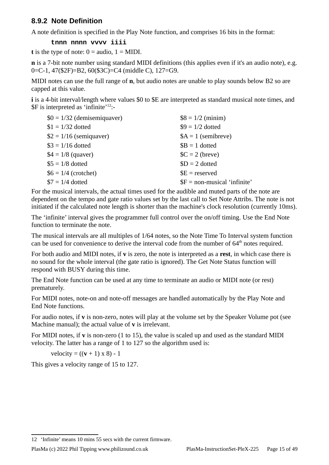#### <span id="page-14-0"></span>**8.9.2 Note Definition**

A note definition is specified in the [Play Note](#page-43-3) function, and comprises 16 bits in the format:

#### **tnnn nnnn vvvv iiii**

**t** is the type of note:  $0 =$  audio,  $1 =$  MIDI.

**n** is a 7-bit note number using standard MIDI definitions (this applies even if it's an audio note), e.g. 0=C-1, 47(\$2F)=B2, 60(\$3C)=C4 (middle C), 127=G9.

MIDI notes can use the full range of **n**, but audio notes are unable to play sounds below B2 so are capped at this value.

*i* is a 4-bit interval/length where values \$0 to \$E are interpreted as standard musical note times, and \$F is interpreted as 'infinite'[12](#page-14-1):-

| $$0 = 1/32$ (demisemiquaver) | $$8 = 1/2$ (minim)           |
|------------------------------|------------------------------|
| $$1 = 1/32$ dotted           | $$9 = 1/2$ dotted            |
| $$2 = 1/16$ (semiquaver)     | $A = 1$ (semibreve)          |
| $$3 = 1/16$ dotted           | $$B = 1$ dotted              |
| $$4 = 1/8$ (quaver)          | $C = 2$ (breve)              |
| $$5 = 1/8$ dotted            | $SD = 2$ dotted              |
| $$6 = 1/4$ (crotchet)        | $SE =$ reserved              |
| $$7 = 1/4$ dotted            | $F = non-musical' infinite'$ |
|                              |                              |

For the musical intervals, the actual times used for the audible and muted parts of the note are dependent on the tempo and gate ratio values set by the last call to [Set Note Attribs](#page-43-4). The note is not initiated if the calculated note length is shorter than the machine's clock resolution (currently 10ms).

The 'infinite' interval gives the programmer full control over the on/off timing. Use the [End Note](#page-43-2) function to terminate the note.

The musical intervals are all multiples of 1/64 notes, so the [Note Time To Interval](#page-43-0) system function can be used for convenience to derive the interval code from the number of  $64<sup>th</sup>$  notes required.

For both audio and MIDI notes, if **v** is zero, the note is interpreted as a **rest**, in which case there is no sound for the whole interval (the gate ratio is ignored). The [Get Note Status](#page-43-1) function will respond with BUSY during this time.

The [End Note](#page-43-2) function can be used at any time to terminate an audio or MIDI note (or rest) prematurely.

For MIDI notes, note-on and note-off messages are handled automatically by the [Play Note](#page-43-3) an[d](#page-43-2) [End Note](#page-43-2) functions.

For audio notes, if **v** is non-zero, notes will play at the volume set by the Speaker Volume pot (see Machine manual); the actual value of **v** is irrelevant.

For MIDI notes, if **v** is non-zero (1 to 15), the value is scaled up and used as the standard MIDI velocity. The latter has a range of 1 to 127 so the algorithm used is:

velocity =  $((v + 1) \times 8) - 1$ 

This gives a velocity range of 15 to 127.

PlasMa (c) 2022 Phil Tipping www.philizound.co.uk PlasMa-InstructionSet-PleX-225 Page 15 of 49

<span id="page-14-1"></span><sup>12</sup> 'Infinite' means 10 mins 55 secs with the current firmware.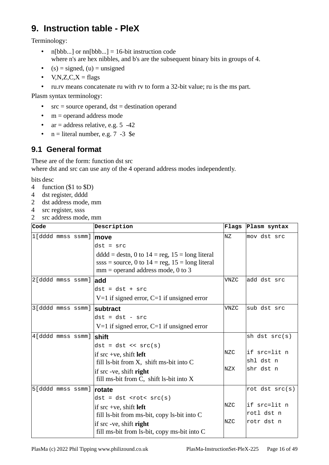# <span id="page-15-6"></span>**9. Instruction table - PleX**

Terminology:

- n[bbb...] or nn[bbb...] = 16-bit instruction code where n's are hex nibbles, and b's are the subsequent binary bits in groups of 4.
- (s) = signed, (u) = unsigned
- $V, N, Z, C, X = \text{flags}$
- ru.rv means concatenate ru with rv to form a 32-bit value; ru is the ms part.

Plasm syntax terminology:

- $src = source operand$ ,  $dst = destination operand$
- m = operand address mode
- $ar =$  address relative, e.g.  $5 -42$
- <span id="page-15-5"></span>•  $n =$  literal number, e.g.  $7 -3$  \$e

### **9.1 General format**

These are of the form: function dst src where dst and src can use any of the 4 operand address modes independently.

- 4 function (\$1 to \$D)
- 4 dst register, dddd
- 2 dst address mode, mm
- 4 src register, ssss
- 2 src address mode, mm

<span id="page-15-4"></span><span id="page-15-3"></span><span id="page-15-2"></span><span id="page-15-1"></span><span id="page-15-0"></span>

| <b>Code</b>       | Description                                                                                               |             | Flags Plasm syntax         |
|-------------------|-----------------------------------------------------------------------------------------------------------|-------------|----------------------------|
| 1[dddd mmss ssmm] | move<br>$dst = src$<br>$ddd = destn$ , 0 to $14 = reg$ , $15 = long$ literal                              | ΝZ          | mov dst src                |
|                   | ssss = source, 0 to $14 = \text{reg}$ , $15 = \text{long literal}$<br>$mm =$ operand address mode, 0 to 3 |             |                            |
| 2[dddd mmss ssmm] | add<br>$dst = dst + src$<br>$V=1$ if signed error, $C=1$ if unsigned error                                | <b>VNZC</b> | add dst src                |
| 3[dddd mmss ssmm] | subtract<br>$dst = dst - src$<br>$V=1$ if signed error, $C=1$ if unsigned error                           | <b>VNZC</b> | sub dst src                |
| 4[dddd mmss ssmm] | shift<br>$dst = dst \lt\lt src(s)$                                                                        |             | sh dst $src(s)$            |
|                   | if $src +ve$ , shift left<br>fill ls-bit from X, shift ms-bit into C                                      | <b>NZC</b>  | if src=lit n<br>shl dst n  |
|                   | if src -ve, shift right<br>fill ms-bit from C, shift ls-bit into X                                        | <b>NZX</b>  | shr dst n                  |
| 5[dddd mmss ssmm] | rotate<br>$dst = dst < rot < src(s)$                                                                      |             | rot dst $src(s)$           |
|                   | if $src +ve$ , shift left<br>fill ls-bit from ms-bit, copy ls-bit into C                                  | <b>NZC</b>  | if src=lit n<br>rotl dst n |
|                   | if src -ve, shift right<br>fill ms-bit from ls-bit, copy ms-bit into C                                    | <b>NZC</b>  | rotr dst n                 |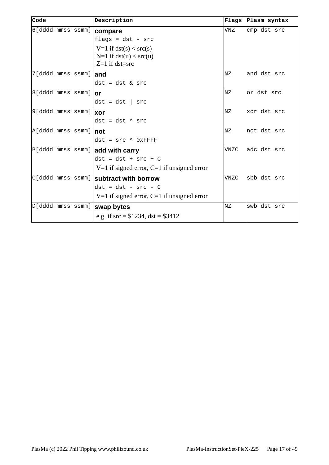<span id="page-16-7"></span><span id="page-16-6"></span><span id="page-16-5"></span><span id="page-16-4"></span><span id="page-16-3"></span><span id="page-16-2"></span><span id="page-16-1"></span><span id="page-16-0"></span>

| <b>Code</b>                         | Description                                    |             | Flags Plasm syntax |
|-------------------------------------|------------------------------------------------|-------------|--------------------|
| 6[dddd mmss ssmm]                   | compare                                        | <b>VNZ</b>  | cmp dst src        |
|                                     | $flags = dst - src$                            |             |                    |
|                                     | V=1 if $dst(s) < src(s)$                       |             |                    |
|                                     | $N=1$ if dst(u) < src(u)                       |             |                    |
|                                     | $Z=1$ if dst=src                               |             |                    |
| 7[dddd mmss ssmm] and               |                                                | NZ          | and dst src        |
|                                     | $dst = dst & src$                              |             |                    |
| 8[dddd mmss ssmm]                   | or                                             | NZ.         | or dst src         |
|                                     | $dst = dst   src$                              |             |                    |
| $ 9[$ dddd mmss ssmm] $ {\bf xor} $ |                                                | NZ          | xor dst src        |
|                                     | $dst = dst \land src$                          |             |                    |
| A[dddd mmss ssmm]  not              |                                                | NZ          | not dst src        |
|                                     | $dst = src \land 0xFFFF$                       |             |                    |
| B[dddd mmss ssmm] add with carry    |                                                | <b>VNZC</b> | adc dst src        |
|                                     | $dst = dst + src + C$                          |             |                    |
|                                     | $V=1$ if signed error, $C=1$ if unsigned error |             |                    |
| C[dddd mmss ssmm]                   | subtract with borrow                           | <b>VNZC</b> | sbb dst src        |
|                                     | $dst = dst - src - C$                          |             |                    |
|                                     | $V=1$ if signed error, $C=1$ if unsigned error |             |                    |
| D[dddd mmss ssmm] swap bytes        |                                                | NZ          | swb dst src        |
|                                     | e.g. if $src = $1234$ , $dst = $3412$          |             |                    |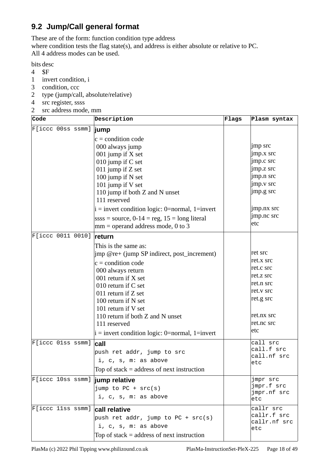#### <span id="page-17-1"></span>**9.2 Jump/Call general format**

These are of the form: function condition type address

where condition tests the flag state(s), and address is either absolute or relative to PC. All 4 address modes can be used.

- 4 \$F
- 1 invert condition, i
- 3 condition, ccc
- 2 type (jump/call, absolute/relative)
- 4 src register, ssss
- 2 src address mode, mm

<span id="page-17-5"></span><span id="page-17-4"></span><span id="page-17-3"></span><span id="page-17-2"></span><span id="page-17-0"></span>

| F[iccc 00ss ssmm]<br><i>l</i> iump<br>$c =$ condition code<br> jmp src<br>000 always jump<br> jmp.x src<br>001 jump if X set<br>$\vert$ jmp.c src<br>010 jump if C set<br>jmp.z src<br>011 jump if Z set |
|----------------------------------------------------------------------------------------------------------------------------------------------------------------------------------------------------------|
|                                                                                                                                                                                                          |
|                                                                                                                                                                                                          |
|                                                                                                                                                                                                          |
|                                                                                                                                                                                                          |
|                                                                                                                                                                                                          |
|                                                                                                                                                                                                          |
| jmp.n src<br>100 jump if N set                                                                                                                                                                           |
| jmp.v src<br>101 jump if V set                                                                                                                                                                           |
| jmp.g src<br>110 jump if both Z and N unset                                                                                                                                                              |
| 111 reserved                                                                                                                                                                                             |
| jmp.nx src<br>$i =$ invert condition logic: 0=normal, 1=invert                                                                                                                                           |
| jmp.nc src<br>$ssss = source, 0-14 = reg, 15 = long literal$                                                                                                                                             |
| etc<br>$mm =$ operand address mode, 0 to 3                                                                                                                                                               |
| F[iccc 0011 0010]<br>∣return                                                                                                                                                                             |
| This is the same as:                                                                                                                                                                                     |
| ret src<br>jmp @re+ (jump SP indirect, post_increment)                                                                                                                                                   |
| ret.x src<br>$c =$ condition code                                                                                                                                                                        |
| ret.c src<br>000 always return                                                                                                                                                                           |
| ret.z src<br>001 return if X set                                                                                                                                                                         |
| ret.n src<br>010 return if C set                                                                                                                                                                         |
| ret.v src<br>011 return if Z set                                                                                                                                                                         |
| ret.g src<br>100 return if N set                                                                                                                                                                         |
| 101 return if V set                                                                                                                                                                                      |
| ret.nx src<br>110 return if both Z and N unset                                                                                                                                                           |
| ret.nc src<br>111 reserved                                                                                                                                                                               |
| etc<br>$i =$ invert condition logic: 0=normal, 1=invert                                                                                                                                                  |
| F[iccc 01ss ssmm]<br>call src<br>call                                                                                                                                                                    |
| call.f src<br>push ret addr, jump to src<br>call.nf src                                                                                                                                                  |
| i, c, s, m: as above<br>etc                                                                                                                                                                              |
| Top of stack $=$ address of next instruction                                                                                                                                                             |
| F[iccc 10ss ssmm]<br>jmpr src<br>jump relative                                                                                                                                                           |
| jmpr.f src<br>jump to $PC + src(s)$                                                                                                                                                                      |
| jmpr.nf src<br>i, c, s, m: as above<br>etc                                                                                                                                                               |
| F[iccc 11ss ssmm]<br>callr src<br>call relative                                                                                                                                                          |
| callr.f src<br>push ret addr, jump to $PC + src(s)$                                                                                                                                                      |
| callr.nf src<br>i, c, s, m: as above<br>etc                                                                                                                                                              |
| Top of stack $=$ address of next instruction                                                                                                                                                             |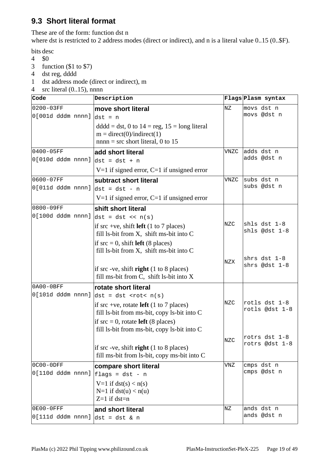#### <span id="page-18-7"></span>**9.3 Short literal format**

These are of the form: function dst n

where dst is restricted to 2 address modes (direct or indirect), and n is a literal value 0..15 (0..\$F).

bits desc<br>4 \$0

- $\overline{4}$
- 3 function (\$1 to \$7)
- 4 dst reg, dddd
- 1 dst address mode (direct or indirect), m
- 4 src literal (0..15), nnnn

<span id="page-18-6"></span><span id="page-18-5"></span><span id="page-18-4"></span><span id="page-18-3"></span><span id="page-18-2"></span><span id="page-18-1"></span><span id="page-18-0"></span>

| Code                           | Description                                                                                                      |             | Flags Plasm syntax              |
|--------------------------------|------------------------------------------------------------------------------------------------------------------|-------------|---------------------------------|
| 0200-03FF<br>0[001d dddm nnnn] | move short literal<br>$\left  \text{dst} \right  = n$<br>$ddd = dist$ , 0 to $14 = reg$ , $15 = long$ literal    | <b>ΝΖ</b>   | movs dst n<br>movs @dst n       |
|                                | $m = direct(0)/indirect(1)$<br>$nnnn = src short literal, 0 to 15$                                               |             |                                 |
| 0400-05FF                      | add short literal                                                                                                | <b>VNZC</b> | adds dst n<br>adds @dst n       |
| 0[010d dddm nnnn]              | $\det = \det + n$                                                                                                |             |                                 |
|                                | $V=1$ if signed error, $C=1$ if unsigned error                                                                   |             |                                 |
| 0600-07FF                      | subtract short literal                                                                                           | <b>VNZC</b> | subs dst n<br>subs @dst n       |
| 0[011d dddm nnnn]              | $\det = \det -n$                                                                                                 |             |                                 |
|                                | $V=1$ if signed error, $C=1$ if unsigned error                                                                   |             |                                 |
| 0800-09FF<br>0[100d dddm nnnn] | shift short literal<br>$\det = \det \lt\lt n(s)$                                                                 |             |                                 |
|                                | if src +ve, shift <b>left</b> $(1 \text{ to } 7 \text{ places})$                                                 | <b>NZC</b>  | shls dst 1-8                    |
|                                | fill ls-bit from X, shift ms-bit into C                                                                          |             | shls @dst 1-8                   |
|                                | if $src = 0$ , shift <b>left</b> (8 places)<br>fill ls-bit from X, shift ms-bit into C                           |             |                                 |
|                                |                                                                                                                  | <b>NZX</b>  | shrs dst $1-8$<br>shrs @dst 1-8 |
|                                | if src -ve, shift right $(1 to 8$ places)<br>fill ms-bit from C, shift ls-bit into X                             |             |                                 |
| 0A00-0BFF                      | rotate short literal                                                                                             |             |                                 |
| $O[101d$ dddm nnnn]            | $\left  \text{dst} \right  = \text{dst} \left  \text{crot} < n(s) \right $                                       | <b>NZC</b>  | rotls dst 1-8                   |
|                                | if src +ve, rotate <b>left</b> $(1 \text{ to } 7 \text{ places})$<br>fill ls-bit from ms-bit, copy ls-bit into C |             | rotls @dst 1-8                  |
|                                | if $src = 0$ , rotate <b>left</b> (8 places)<br>fill ls-bit from ms-bit, copy ls-bit into C                      |             |                                 |
|                                |                                                                                                                  | <b>NZC</b>  | rotrs dst 1-8                   |
|                                | if src -ve, shift right $(1 to 8$ places)                                                                        |             | rotrs @dst 1-8                  |
|                                | fill ms-bit from ls-bit, copy ms-bit into C                                                                      |             |                                 |
| 0C00-0DFF                      | compare short literal                                                                                            | <b>VNZ</b>  | cmps dst n<br>cmps @dst n       |
| 0[110d dddm nnnn]              | $flags = dst - n$                                                                                                |             |                                 |
|                                | V=1 if dst(s) $\leq n(s)$                                                                                        |             |                                 |
|                                | $N=1$ if dst(u) $\leq n(u)$<br>$Z=1$ if dst=n                                                                    |             |                                 |
| 0E00-0FFF                      | and short literal                                                                                                | <b>NZ</b>   | ands dst n                      |
| $O[111d$ dddm nnnn]            | $\det$ = dst & n                                                                                                 |             | ands @dst n                     |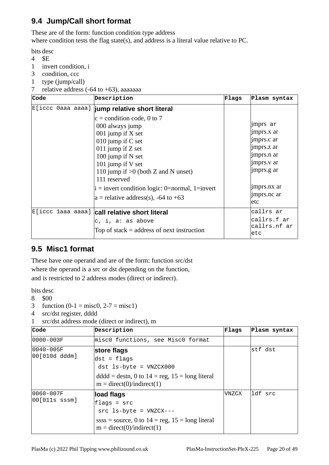#### <span id="page-19-5"></span>**9.4 Jump/Call short format**

These are of the form: function condition type address where condition tests the flag state(s), and address is a literal value relative to PC.

bits desc

- 4 \$E
- 1 invert condition, i
- 3 condition, ccc
- 1 type (jump/call)
- 7 relative address  $(-64 \text{ to } +63)$ , aaaaaaa

<span id="page-19-4"></span>

| <b>Code</b> | Description                                                                                                                                              | <b>Flags</b> | Plasm syntax                                                                   |
|-------------|----------------------------------------------------------------------------------------------------------------------------------------------------------|--------------|--------------------------------------------------------------------------------|
|             | E[iccc 0aaa aaaa]  jump relative short literal                                                                                                           |              |                                                                                |
|             | $c =$ condition code, 0 to 7<br>000 always jump<br>001 jump if X set<br>010 jump if C set<br>011 jump if Z set<br>100 jump if N set<br>101 jump if V set |              | jmprs ar<br>jmprs.x ar<br>jmprs.c ar<br>jmprs.z ar<br>jmprs.n ar<br>jmprs.v ar |
|             | 110 jump if $>0$ (both Z and N unset)<br>111 reserved                                                                                                    |              | jmprs.g ar                                                                     |
|             | $i =$ invert condition logic: 0=normal, 1=invert<br>$ a$ = relative address(s), -64 to +63                                                               |              | jmprs.nx ar<br>jmprs.nc ar<br>etc                                              |
|             | E[iccc 1aaa aaaa] call relative short literal<br>c, i, a: as above<br>Top of stack $=$ address of next instruction                                       |              | callrs ar<br>callrs.f ar<br>callrs.nf ar<br>etc                                |

#### <span id="page-19-3"></span><span id="page-19-2"></span>**9.5 Misc1 format**

These have one operand and are of the form: function src/dst where the operand is a src or dst depending on the function, and is restricted to 2 address modes (direct or indirect).

- 8 \$00
- 3 function  $(0-1 = \text{misc0}, 2-7 = \text{misc1})$
- 4 src/dst register, dddd
- 1 src/dst address mode (direct or indirect), m

<span id="page-19-1"></span><span id="page-19-0"></span>

| <b>Code</b>                | Description                                                                                                                                                       | Flags        | Plasm syntax |
|----------------------------|-------------------------------------------------------------------------------------------------------------------------------------------------------------------|--------------|--------------|
| 0000-003F                  | misc0 functions, see Misc0 format                                                                                                                                 |              |              |
| 0040-005F<br>00[010d dddm] | store flags<br>$dst = flags$<br>$dst$ ls-byte = $VNZCX000$<br>$ddd = destn$ , 0 to $14 = reg$ , $15 = long$ literal<br>$m = direct(0)/indirect(1)$                |              | stf dst      |
| 0060-007F<br>00[011s sssm] | load flags<br>flags = $src$<br>$src$ $ls$ -byte = $VNZCX---$<br>ssss = source, 0 to $14 = \text{reg}$ , $15 = \text{long literal}$<br>$m = direct(0)/indirect(1)$ | <b>VNZCX</b> | ldf src      |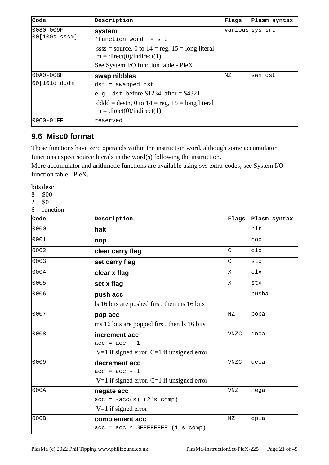<span id="page-20-14"></span><span id="page-20-13"></span>

| <b>Code</b>      | Description                                                                          | Flags           | Plasm syntax |
|------------------|--------------------------------------------------------------------------------------|-----------------|--------------|
| $ 0080 - 009F $  | system                                                                               | various sys src |              |
| 00[100s sssm]    | 'function word' = $src$                                                              |                 |              |
|                  | $ssss = source, 0 to 14 = reg, 15 = long literal$<br>$m = direct(0)/indirect(1)$     |                 |              |
|                  | See System I/O function table - PleX                                                 |                 |              |
| 00A0-00BF        | swap nibbles                                                                         | NZ.             | swn dst      |
| $ 00 101d$ dddm] | $dst = swapped dist$                                                                 |                 |              |
|                  | e.g. dst before \$1234, after = \$4321                                               |                 |              |
|                  | $ddd = destn$ , 0 to $14 = reg$ , $15 = long$ literal<br>$m =$ direct(0)/indirect(1) |                 |              |
| $ 00C0 - 01FF $  | reserved                                                                             |                 |              |

#### <span id="page-20-12"></span>**9.6 Misc0 format**

These functions have zero operands within the instruction word, although some accumulator functions expect source literals in the word(s) following the instruction.

More accumulator and arithmetic functions are available using sys extra-codes; see [System I/O](#page-24-4)  [function table - PleX](#page-24-4).

- 8 \$00
- 2 \$0
- 6 function

<span id="page-20-11"></span><span id="page-20-10"></span><span id="page-20-9"></span><span id="page-20-8"></span><span id="page-20-7"></span><span id="page-20-6"></span><span id="page-20-5"></span><span id="page-20-4"></span><span id="page-20-3"></span><span id="page-20-2"></span><span id="page-20-1"></span><span id="page-20-0"></span>

| Code | Description                                    | Flags        | Plasm syntax |
|------|------------------------------------------------|--------------|--------------|
| 0000 | halt                                           |              | $h$ lt       |
| 0001 | nop                                            |              | nop          |
| 0002 | clear carry flag                               | $\mathsf{C}$ | c1c          |
| 0003 | set carry flag                                 | C            | stc          |
| 0004 | clear x flag                                   | ΙX.          | c1x          |
| 0005 | set x flag                                     | ΙX           | stx          |
| 0006 | push acc                                       |              | pusha        |
|      | Is 16 bits are pushed first, then ms 16 bits   |              |              |
| 0007 | pop acc                                        | <b>NZ</b>    | popa         |
|      | ms 16 bits are popped first, then ls 16 bits   |              |              |
| 0008 | increment acc                                  | <b>VNZC</b>  | inca         |
|      | $acc = acc + 1$                                |              |              |
|      | $V=1$ if signed error, $C=1$ if unsigned error |              |              |
| 0009 | decrement acc                                  | <b>VNZC</b>  | deca         |
|      | $acc = acc - 1$                                |              |              |
|      | $V=1$ if signed error, $C=1$ if unsigned error |              |              |
| 000A | negate acc                                     | <b>VNZ</b>   | nega         |
|      | $acc = -acc(s)$ (2's comp)                     |              |              |
|      | $V=1$ if signed error                          |              |              |
| 000B | complement acc                                 | <b>NZ</b>    | cpla         |
|      | $acc = acc \land SFFFFFFF$ (1's comp)          |              |              |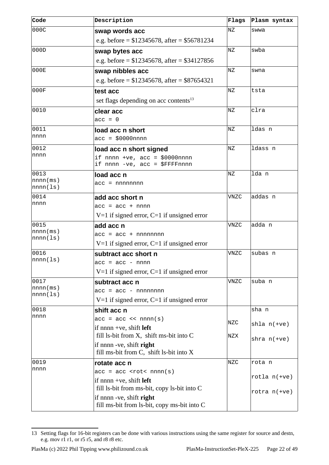<span id="page-21-13"></span><span id="page-21-12"></span><span id="page-21-11"></span><span id="page-21-10"></span><span id="page-21-9"></span><span id="page-21-8"></span><span id="page-21-7"></span><span id="page-21-6"></span><span id="page-21-5"></span>

| Code                 | Description                                                             | <b>Flags</b> | Plasm syntax    |
|----------------------|-------------------------------------------------------------------------|--------------|-----------------|
| 000C                 | swap words acc                                                          | <b>ΝΖ</b>    | swwa            |
|                      | e.g. before = $$12345678$ , after = $$56781234$                         |              |                 |
| 000D                 | swap bytes acc                                                          | <b>NZ</b>    | swba            |
|                      | e.g. before = $$12345678$ , after = $$34127856$                         |              |                 |
| 000E                 | swap nibbles acc                                                        | <b>NZ</b>    | swna            |
|                      | e.g. before = $$12345678$ , after = $$87654321$                         |              |                 |
| 000F                 | test acc                                                                | <b>NZ</b>    | tsta            |
|                      | set flags depending on acc contents <sup>13</sup>                       |              |                 |
| 0010                 | clear acc                                                               | <b>NZ</b>    | clra            |
|                      | $acc = 0$                                                               |              |                 |
| 0011                 | load acc n short                                                        | <b>NZ</b>    | ldas n          |
| nnnn                 | $acc = $0000nnnn$                                                       |              |                 |
| 0012                 | load acc n short signed                                                 | <b>NZ</b>    | ldass n         |
| nnnn                 | if nnnn +ve, $acc = $0000$ nnnn<br>if nnnn -ve, acc = \$FFFFnnnn        |              |                 |
| 0013                 | load acc n                                                              | <b>NZ</b>    | lda n           |
| nnnn(ms)<br>nnnn(ls) | $acc = nnnnnnnnn$                                                       |              |                 |
| 0014                 | add acc short n                                                         | <b>VNZC</b>  | addas n         |
| nnnn                 | $acc = acc + nnnn$                                                      |              |                 |
|                      | $V=1$ if signed error, $C=1$ if unsigned error                          |              |                 |
| 0015                 | add acc n                                                               | <b>VNZC</b>  | adda n          |
| nnnn(ms)<br>nnnn(ls) | $acc = acc + nnnnnnnnn$                                                 |              |                 |
|                      | $V=1$ if signed error, $C=1$ if unsigned error                          |              |                 |
| 0016                 | subtract acc short n                                                    | <b>VNZC</b>  | subas n         |
| nnnn(ls)             | $acc = acc - nnnn$                                                      |              |                 |
|                      | $V=1$ if signed error, $C=1$ if unsigned error                          |              |                 |
| 0017<br>nnnn(ms)     | subtract acc n                                                          | <b>VNZC</b>  | suba n          |
| nnnn(ls)             | $acc = acc - nnnnnnn$                                                   |              |                 |
|                      | $V=1$ if signed error, $C=1$ if unsigned error                          |              |                 |
| 0018<br>nnnn         | shift acc n                                                             |              | sha n           |
|                      | $acc = acc \ll nnnn(s)$<br>if nnnn +ve, shift left                      | <b>NZC</b>   | shla $n$ (+ve)  |
|                      | fill ls-bit from X, shift ms-bit into C                                 | <b>NZX</b>   |                 |
|                      | if nnnn -ve, shift right                                                |              | shra $n$ (+ve)  |
|                      | fill ms-bit from C, shift ls-bit into X                                 |              |                 |
| 0019                 | rotate acc n                                                            | <b>NZC</b>   | rota n          |
| nnnn                 | $acc = acc < rot < nnnn(s)$                                             |              | rotla $n$ (+ve) |
|                      | if nnnn +ve, shift left                                                 |              |                 |
|                      | fill ls-bit from ms-bit, copy ls-bit into C                             |              | rotra $n$ (+ve) |
|                      | if nnnn -ve, shift right<br>fill ms-bit from ls-bit, copy ms-bit into C |              |                 |

<span id="page-21-14"></span><span id="page-21-4"></span><span id="page-21-3"></span><span id="page-21-2"></span><span id="page-21-1"></span><span id="page-21-0"></span><sup>13</sup> Setting flags for 16-bit registers can be done with various instructions using the same register for source and destn, e.g. mov r1 r1, or r5 r5, and r8 r8 etc.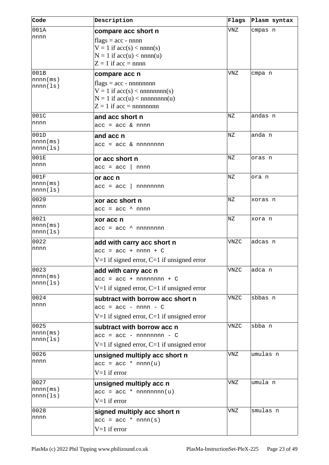<span id="page-22-14"></span><span id="page-22-13"></span><span id="page-22-12"></span><span id="page-22-11"></span><span id="page-22-10"></span><span id="page-22-9"></span><span id="page-22-8"></span><span id="page-22-7"></span><span id="page-22-6"></span><span id="page-22-5"></span><span id="page-22-4"></span><span id="page-22-3"></span><span id="page-22-2"></span><span id="page-22-1"></span><span id="page-22-0"></span>

| Code                 | Description                                                                   | <b>Flags</b> | Plasm syntax |
|----------------------|-------------------------------------------------------------------------------|--------------|--------------|
| 001A                 | compare acc short n                                                           | <b>VNZ</b>   | cmpas n      |
| nnnn                 | flags = $acc - nnnn$                                                          |              |              |
|                      | $V = 1$ if $acc(s) <$ nnnn(s)                                                 |              |              |
|                      | $N = 1$ if $acc(u) <$ nnnn(u)                                                 |              |              |
|                      | $Z = 1$ if acc = nnnn                                                         |              |              |
| 001B<br>nnnn(ms)     | compare acc n                                                                 | <b>VNZ</b>   | cmpa n       |
| nnnn(ls)             | flags = $acc - nnnnnnnn$                                                      |              |              |
|                      | $V = 1$ if $acc(s) <$ nnnnnnnn(s)<br>$N = 1$ if $acc(u) < \text{nnnnnnnn}(u)$ |              |              |
|                      | $Z = 1$ if acc = nnnnnnnn                                                     |              |              |
| 001C                 | and acc short n                                                               | <b>NZ</b>    | andas n      |
| nnnn                 | $acc = acc & nnnn$                                                            |              |              |
| 001D                 |                                                                               | <b>NZ</b>    | anda n       |
| nnnn(ms)             | and acc n<br>$acc = acc & nnnnnnnnn$                                          |              |              |
| nnnn(ls)             |                                                                               |              |              |
| 001E                 | or acc short n                                                                | <b>NZ</b>    | oras n       |
| nnnn                 | $acc = acc$   nnnn                                                            |              |              |
| 001F                 | or acc n                                                                      | <b>NZ</b>    | ora n        |
| nnnn(ms)<br>nnnn(ls) | $acc = acc$   nnnnnnnnn                                                       |              |              |
| 0020                 |                                                                               | <b>NZ</b>    | xoras n      |
| nnnn                 | xor acc short n<br>$acc = acc \land nnnn$                                     |              |              |
| 0021                 |                                                                               | <b>NZ</b>    |              |
| nnnn(ms)             | xor acc n                                                                     |              | xora n       |
| nnnn(ls)             | $acc = acc \wedge nnnnnnnnn$                                                  |              |              |
| 0022                 | add with carry acc short n                                                    | <b>VNZC</b>  | adcas n      |
| nnnn                 | $acc = acc + nnn + C$                                                         |              |              |
|                      | $V=1$ if signed error, $C=1$ if unsigned error                                |              |              |
| 0023                 | add with carry acc n                                                          | <b>VNZC</b>  | adca n       |
| nnnn(ms)<br>nnnn(ls) | $acc = acc + nnnnnnn + C$                                                     |              |              |
|                      | $V=1$ if signed error, $C=1$ if unsigned error                                |              |              |
| 0024                 | subtract with borrow acc short n                                              | <b>VNZC</b>  | sbbas n      |
| nnnn                 | $acc = acc - nnn - c$                                                         |              |              |
|                      | $V=1$ if signed error, $C=1$ if unsigned error                                |              |              |
| 0025                 | subtract with borrow acc n                                                    | <b>VNZC</b>  | sbba n       |
| nnnn(ms)<br>nnnn(ls) | $acc = acc - nnnnnnn - C$                                                     |              |              |
|                      | $V=1$ if signed error, $C=1$ if unsigned error                                |              |              |
| 0026                 | unsigned multiply acc short n                                                 | <b>VNZ</b>   | umulas n     |
| nnnn                 | $acc = acc * nnnn(u)$                                                         |              |              |
|                      | $V=1$ if error                                                                |              |              |
| 0027                 | unsigned multiply acc n                                                       | <b>VNZ</b>   | umula n      |
| nnnn(ms)             | $acc = acc * nnnnnnn(n)$                                                      |              |              |
| nnnn(ls)             | $V=1$ if error                                                                |              |              |
| 0028                 | signed multiply acc short n                                                   | <b>VNZ</b>   | smulas n     |
| nnnn                 | $acc = acc * nnnn(s)$                                                         |              |              |
|                      | $V=1$ if error                                                                |              |              |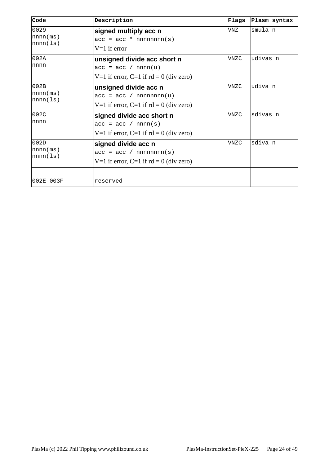<span id="page-23-4"></span><span id="page-23-3"></span><span id="page-23-2"></span><span id="page-23-1"></span><span id="page-23-0"></span>

| <b>Code</b>          | Description                                | Flags       | Plasm syntax |
|----------------------|--------------------------------------------|-------------|--------------|
| 0029<br>nnnn(ms)     | signed multiply acc n                      | <b>VNZ</b>  | smula n      |
| nnnn(ls)             | $acc = acc * nnnnnnn(n(s))$                |             |              |
|                      | $V=1$ if error                             |             |              |
| 002A                 | unsigned divide acc short n                | <b>VNZC</b> | udivas n     |
| Innnn                | $acc = acc / nnnn(u)$                      |             |              |
|                      | V=1 if error, $C=1$ if $rd = 0$ (div zero) |             |              |
| 002B                 | unsigned divide acc n                      | <b>VNZC</b> | udiva n      |
| nnnn(ms)<br>nnnn(ls) | $acc = acc / nnnnnnn(n)$                   |             |              |
|                      | V=1 if error, C=1 if $rd = 0$ (div zero)   |             |              |
| 002C                 | signed divide acc short n                  | <b>VNZC</b> | sdivas n     |
| Innnn                | $acc = acc / nnnn(s)$                      |             |              |
|                      | V=1 if error, $C=1$ if $rd = 0$ (div zero) |             |              |
| 002D                 | signed divide acc n                        | <b>VNZC</b> | sdiva n      |
| nnnn(ms)<br>nnnn(ls) | $acc = acc / nnnnnnn (s)$                  |             |              |
|                      | V=1 if error, $C=1$ if $rd = 0$ (div zero) |             |              |
|                      |                                            |             |              |
| 002E-003F            | reserved                                   |             |              |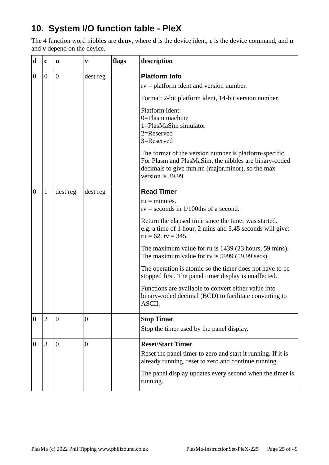# <span id="page-24-4"></span>**10. System I/O function table - PleX**

The 4 function word nibbles are **dcuv**, where **d** is the device ident, **c** is the device command, and **u** and **v** depend on the device.

<span id="page-24-3"></span><span id="page-24-2"></span><span id="page-24-1"></span><span id="page-24-0"></span>

| d                | $\mathbf c$      | <b>u</b>         | V                | flags | description                                                                                                                                                                                                              |
|------------------|------------------|------------------|------------------|-------|--------------------------------------------------------------------------------------------------------------------------------------------------------------------------------------------------------------------------|
| $\boldsymbol{0}$ | $\boldsymbol{0}$ | $\overline{0}$   | dest reg         |       | <b>Platform Info</b><br>$rv =$ platform ident and version number.<br>Format: 2-bit platform ident, 14-bit version number.                                                                                                |
|                  |                  |                  |                  |       | Platform ident:<br>0=Plasm machine<br>1=PlasMaSim simulator<br>2=Reserved<br>3=Reserved                                                                                                                                  |
|                  |                  |                  |                  |       | The format of the version number is platform-specific.<br>For Plasm and PlasMaSim, the nibbles are binary-coded<br>decimals to give mm.nn (major.minor), so the max<br>version is 39.99                                  |
| $\boldsymbol{0}$ | $\mathbf{1}$     | dest reg         | dest reg         |       | <b>Read Timer</b><br>$ru =$ minutes.<br>$rv$ = seconds in 1/100ths of a second.                                                                                                                                          |
|                  |                  |                  |                  |       | Return the elapsed time since the timer was started.<br>e.g. a time of 1 hour, 2 mins and 3.45 seconds will give:<br>$ru = 62$ , $rv = 345$ .                                                                            |
|                  |                  |                  |                  |       | The maximum value for ru is 1439 (23 hours, 59 mins).<br>The maximum value for rv is 5999 (59.99 secs).                                                                                                                  |
|                  |                  |                  |                  |       | The operation is atomic so the timer does not have to be<br>stopped first. The panel timer display is unaffected.                                                                                                        |
|                  |                  |                  |                  |       | Functions are available to convert either value into<br>binary-coded decimal (BCD) to facilitate converting to<br>ASCII.                                                                                                 |
| $\boldsymbol{0}$ | $\overline{2}$   | $\boldsymbol{0}$ | $\boldsymbol{0}$ |       | <b>Stop Timer</b>                                                                                                                                                                                                        |
|                  |                  |                  |                  |       | Stop the timer used by the panel display.                                                                                                                                                                                |
| $\boldsymbol{0}$ | 3                | $\overline{0}$   | $\overline{0}$   |       | <b>Reset/Start Timer</b><br>Reset the panel timer to zero and start it running. If it is<br>already running, reset to zero and continue running.<br>The panel display updates every second when the timer is<br>running. |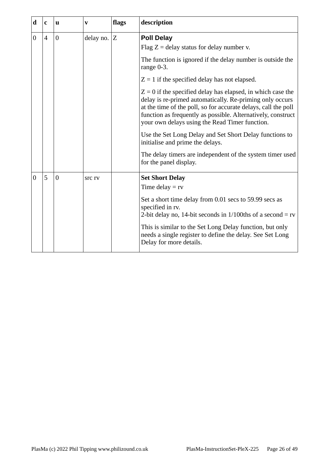<span id="page-25-1"></span><span id="page-25-0"></span>

| $\mathbf d$      | $\mathbf{C}$   | <b>u</b>       | $\mathbf{V}$    | flags | description                                                                                                                                                                                                                                                                                                   |
|------------------|----------------|----------------|-----------------|-------|---------------------------------------------------------------------------------------------------------------------------------------------------------------------------------------------------------------------------------------------------------------------------------------------------------------|
| $\overline{0}$   | $\overline{4}$ | $\overline{0}$ | delay no. $ Z $ |       | <b>Poll Delay</b><br>Flag $Z =$ delay status for delay number v.                                                                                                                                                                                                                                              |
|                  |                |                |                 |       | The function is ignored if the delay number is outside the<br>range 0-3.                                                                                                                                                                                                                                      |
|                  |                |                |                 |       | $Z = 1$ if the specified delay has not elapsed.                                                                                                                                                                                                                                                               |
|                  |                |                |                 |       | $Z = 0$ if the specified delay has elapsed, in which case the<br>delay is re-primed automatically. Re-priming only occurs<br>at the time of the poll, so for accurate delays, call the poll<br>function as frequently as possible. Alternatively, construct<br>your own delays using the Read Timer function. |
|                  |                |                |                 |       | Use the Set Long Delay and Set Short Delay functions to<br>initialise and prime the delays.                                                                                                                                                                                                                   |
|                  |                |                |                 |       | The delay timers are independent of the system timer used<br>for the panel display.                                                                                                                                                                                                                           |
| $\boldsymbol{0}$ | 5              | $\mathbf{0}$   | <b>STC TV</b>   |       | <b>Set Short Delay</b><br>Time delay $= rv$                                                                                                                                                                                                                                                                   |
|                  |                |                |                 |       | Set a short time delay from 0.01 secs to 59.99 secs as<br>specified in rv.<br>2-bit delay no, 14-bit seconds in $1/100$ ths of a second = rv                                                                                                                                                                  |
|                  |                |                |                 |       | This is similar to the Set Long Delay function, but only<br>needs a single register to define the delay. See Set Long<br>Delay for more details.                                                                                                                                                              |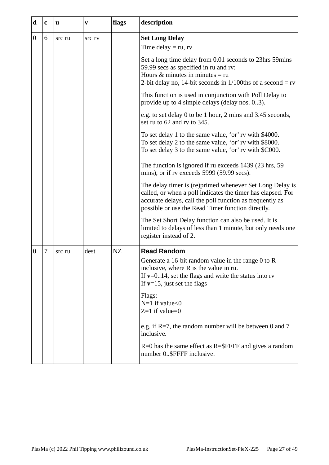<span id="page-26-1"></span><span id="page-26-0"></span>

| d                | $\mathbf c$ | u      | V             | flags | description                                                                                                                                                                                                                              |
|------------------|-------------|--------|---------------|-------|------------------------------------------------------------------------------------------------------------------------------------------------------------------------------------------------------------------------------------------|
| $\boldsymbol{0}$ | 6           | src ru | <b>STC TV</b> |       | <b>Set Long Delay</b><br>Time delay $= ru$ , rv                                                                                                                                                                                          |
|                  |             |        |               |       | Set a long time delay from 0.01 seconds to 23hrs 59mins<br>59.99 secs as specified in ru and rv:<br>Hours $&$ minutes in minutes = ru<br>2-bit delay no, 14-bit seconds in $1/100$ ths of a second = rv                                  |
|                  |             |        |               |       | This function is used in conjunction with Poll Delay to<br>provide up to 4 simple delays (delay nos. 03).                                                                                                                                |
|                  |             |        |               |       | e.g. to set delay 0 to be 1 hour, 2 mins and 3.45 seconds,<br>set ru to 62 and rv to 345.                                                                                                                                                |
|                  |             |        |               |       | To set delay 1 to the same value, 'or' rv with \$4000.<br>To set delay 2 to the same value, 'or' rv with \$8000.<br>To set delay 3 to the same value, 'or' rv with \$C000.                                                               |
|                  |             |        |               |       | The function is ignored if ru exceeds 1439 (23 hrs, 59<br>mins), or if rv exceeds 5999 (59.99 secs).                                                                                                                                     |
|                  |             |        |               |       | The delay timer is (re)primed whenever Set Long Delay is<br>called, or when a poll indicates the timer has elapsed. For<br>accurate delays, call the poll function as frequently as<br>possible or use the Read Timer function directly. |
|                  |             |        |               |       | The Set Short Delay function can also be used. It is<br>limited to delays of less than 1 minute, but only needs one<br>register instead of 2.                                                                                            |
| $\boldsymbol{0}$ | 7           | src ru | dest          | NZ    | <b>Read Random</b>                                                                                                                                                                                                                       |
|                  |             |        |               |       | Generate a 16-bit random value in the range 0 to R<br>inclusive, where R is the value in ru.<br>If $v=0.14$ , set the flags and write the status into rv<br>If $v=15$ , just set the flags                                               |
|                  |             |        |               |       | Flags:<br>$N=1$ if value<0<br>$Z=1$ if value=0                                                                                                                                                                                           |
|                  |             |        |               |       | e.g. if $R=7$ , the random number will be between 0 and 7<br>inclusive.                                                                                                                                                                  |
|                  |             |        |               |       | $R=0$ has the same effect as $R=$ \$FFFF and gives a random<br>number 0\$FFFF inclusive.                                                                                                                                                 |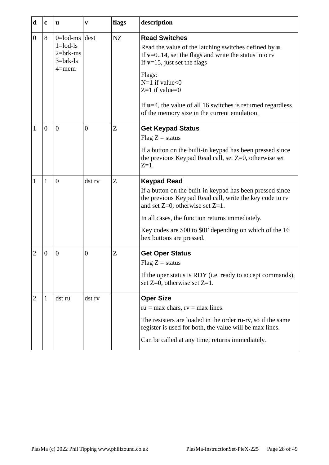<span id="page-27-4"></span><span id="page-27-3"></span><span id="page-27-2"></span><span id="page-27-1"></span><span id="page-27-0"></span>

| d                | $\mathbf{C}$     | u                                                                                | V                | flags | description                                                                                                                                                                                                                                                                                                                                             |
|------------------|------------------|----------------------------------------------------------------------------------|------------------|-------|---------------------------------------------------------------------------------------------------------------------------------------------------------------------------------------------------------------------------------------------------------------------------------------------------------------------------------------------------------|
| $\boldsymbol{0}$ | 8                | $0 =$ lod-ms dest<br>$1 =$ lod-ls<br>$2 = brk - ms$<br>$3 = brk-ls$<br>$4 =$ mem |                  | NZ    | <b>Read Switches</b><br>Read the value of the latching switches defined by <b>u</b> .<br>If $v=0.14$ , set the flags and write the status into rv<br>If $v=15$ , just set the flags<br>Flags:<br>$N=1$ if value<0<br>$Z=1$ if value=0<br>If $u=4$ , the value of all 16 switches is returned regardless<br>of the memory size in the current emulation. |
| $\mathbf{1}$     | $\overline{0}$   | $\overline{0}$                                                                   | $\overline{0}$   | Z     | <b>Get Keypad Status</b><br>Flag $Z =$ status<br>If a button on the built-in keypad has been pressed since<br>the previous Keypad Read call, set $Z=0$ , otherwise set<br>$Z=1$ .                                                                                                                                                                       |
| $\mathbf{1}$     | $\mathbf{1}$     | $\overline{0}$                                                                   | dst rv           | Z     | <b>Keypad Read</b><br>If a button on the built-in keypad has been pressed since<br>the previous Keypad Read call, write the key code to rv<br>and set $Z=0$ , otherwise set $Z=1$ .<br>In all cases, the function returns immediately.<br>Key codes are \$00 to \$0F depending on which of the 16<br>hex buttons are pressed.                           |
| $\overline{2}$   | $\boldsymbol{0}$ | $\boldsymbol{0}$                                                                 | $\boldsymbol{0}$ | Z     | <b>Get Oper Status</b><br>Flag $Z =$ status<br>If the oper status is RDY (i.e. ready to accept commands),<br>set $Z=0$ , otherwise set $Z=1$ .                                                                                                                                                                                                          |
| $\overline{2}$   | $\mathbf{1}$     | dst ru                                                                           | dst rv           |       | <b>Oper Size</b><br>$ru = max \, \text{chars}, \, rv = max \, \text{lines}.$<br>The resisters are loaded in the order ru-rv, so if the same<br>register is used for both, the value will be max lines.<br>Can be called at any time; returns immediately.                                                                                               |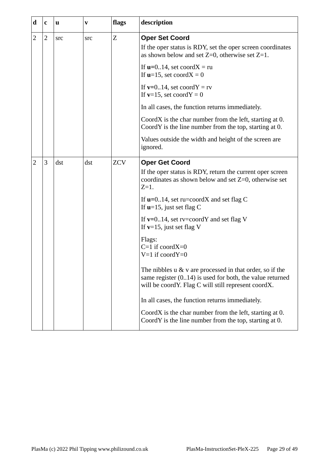<span id="page-28-1"></span><span id="page-28-0"></span>

| d              | $\mathbf{C}$   | u          | $\mathbf{v}$ | flags      | description                                                                                                                                                                      |
|----------------|----------------|------------|--------------|------------|----------------------------------------------------------------------------------------------------------------------------------------------------------------------------------|
| $\overline{2}$ | $\overline{2}$ | <b>SrC</b> | <b>SrC</b>   | Z          | <b>Oper Set Coord</b>                                                                                                                                                            |
|                |                |            |              |            | If the oper status is RDY, set the oper screen coordinates<br>as shown below and set $Z=0$ , otherwise set $Z=1$ .                                                               |
|                |                |            |              |            | If $u=014$ , set coord $X = ru$<br>If $u=15$ , set coord $X = 0$                                                                                                                 |
|                |                |            |              |            | If $v=0.14$ , set coord $Y = rv$<br>If $v=15$ , set coord $Y=0$                                                                                                                  |
|                |                |            |              |            | In all cases, the function returns immediately.                                                                                                                                  |
|                |                |            |              |            | CoordX is the char number from the left, starting at 0.<br>CoordY is the line number from the top, starting at 0.                                                                |
|                |                |            |              |            | Values outside the width and height of the screen are<br>ignored.                                                                                                                |
| $\overline{2}$ | 3              | dst        | dst          | <b>ZCV</b> | <b>Oper Get Coord</b>                                                                                                                                                            |
|                |                |            |              |            | If the oper status is RDY, return the current oper screen<br>coordinates as shown below and set $Z=0$ , otherwise set<br>$Z=1$ .                                                 |
|                |                |            |              |            | If $u=014$ , set ru=coordX and set flag C<br>If $u=15$ , just set flag C                                                                                                         |
|                |                |            |              |            | If $v=014$ , set rv=coordY and set flag V<br>If $v=15$ , just set flag V                                                                                                         |
|                |                |            |              |            | Flags:<br>$C=1$ if coord $X=0$<br>$V=1$ if coord $Y=0$                                                                                                                           |
|                |                |            |              |            | The nibbles $u \& v$ are processed in that order, so if the<br>same register $(014)$ is used for both, the value returned<br>will be coordY. Flag C will still represent coordX. |
|                |                |            |              |            | In all cases, the function returns immediately.                                                                                                                                  |
|                |                |            |              |            | CoordX is the char number from the left, starting at 0.<br>CoordY is the line number from the top, starting at 0.                                                                |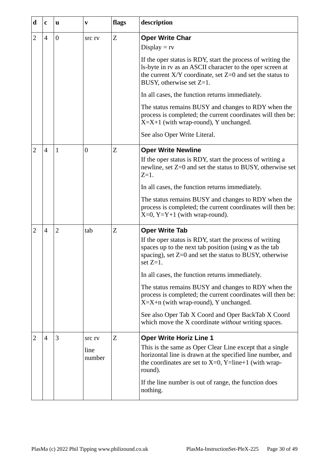<span id="page-29-3"></span><span id="page-29-2"></span><span id="page-29-1"></span><span id="page-29-0"></span>

| d              | $\mathbf{C}$   | u              | V              | flags | description                                                                                                                                                                                                           |
|----------------|----------------|----------------|----------------|-------|-----------------------------------------------------------------------------------------------------------------------------------------------------------------------------------------------------------------------|
| $\overline{2}$ | $\overline{4}$ | $\mathbf{0}$   | <b>STC TV</b>  | Z     | <b>Oper Write Char</b>                                                                                                                                                                                                |
|                |                |                |                |       | Display = $rv$                                                                                                                                                                                                        |
|                |                |                |                |       | If the oper status is RDY, start the process of writing the<br>Is-byte in rv as an ASCII character to the oper screen at<br>the current $X/Y$ coordinate, set $Z=0$ and set the status to<br>BUSY, otherwise set Z=1. |
|                |                |                |                |       | In all cases, the function returns immediately.                                                                                                                                                                       |
|                |                |                |                |       | The status remains BUSY and changes to RDY when the<br>process is completed; the current coordinates will then be:<br>$X=X+1$ (with wrap-round), Y unchanged.                                                         |
|                |                |                |                |       | See also Oper Write Literal.                                                                                                                                                                                          |
| $\overline{2}$ | $\overline{4}$ | $\mathbf{1}$   | $\overline{0}$ | Z     | <b>Oper Write Newline</b>                                                                                                                                                                                             |
|                |                |                |                |       | If the oper status is RDY, start the process of writing a<br>newline, set Z=0 and set the status to BUSY, otherwise set<br>$Z=1$ .                                                                                    |
|                |                |                |                |       | In all cases, the function returns immediately.                                                                                                                                                                       |
|                |                |                |                |       | The status remains BUSY and changes to RDY when the<br>process is completed; the current coordinates will then be:<br>$X=0$ , $Y=Y+1$ (with wrap-round).                                                              |
| $\overline{2}$ | $\overline{4}$ | $\overline{2}$ | tab            | Z     | <b>Oper Write Tab</b>                                                                                                                                                                                                 |
|                |                |                |                |       | If the oper status is RDY, start the process of writing<br>spaces up to the next tab position (using $\bf{v}$ as the tab<br>spacing), set $Z=0$ and set the status to BUSY, otherwise<br>set $Z=1$ .                  |
|                |                |                |                |       | In all cases, the function returns immediately.                                                                                                                                                                       |
|                |                |                |                |       | The status remains BUSY and changes to RDY when the<br>process is completed; the current coordinates will then be:<br>$X=X+n$ (with wrap-round), Y unchanged.                                                         |
|                |                |                |                |       | See also Oper Tab X Coord and Oper BackTab X Coord<br>which move the X coordinate without writing spaces.                                                                                                             |
| $\overline{2}$ | $\overline{4}$ | 3              | <b>STC TV</b>  | Z     | <b>Oper Write Horiz Line 1</b>                                                                                                                                                                                        |
|                |                |                | line<br>number |       | This is the same as Oper Clear Line except that a single<br>horizontal line is drawn at the specified line number, and<br>the coordinates are set to $X=0$ , $Y=$ line+1 (with wrap-<br>round).                       |
|                |                |                |                |       | If the line number is out of range, the function does<br>nothing.                                                                                                                                                     |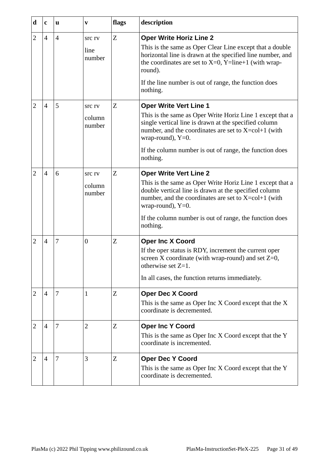<span id="page-30-6"></span><span id="page-30-5"></span><span id="page-30-4"></span><span id="page-30-3"></span><span id="page-30-2"></span><span id="page-30-1"></span><span id="page-30-0"></span>

| d              | $\mathbf{C}$   | u              | V                                 | flags | description                                                                                                                                                                                                                                                                                                      |
|----------------|----------------|----------------|-----------------------------------|-------|------------------------------------------------------------------------------------------------------------------------------------------------------------------------------------------------------------------------------------------------------------------------------------------------------------------|
| $\overline{2}$ | $\overline{4}$ | $\overline{4}$ | <b>STC TV</b><br>line<br>number   | Z     | <b>Oper Write Horiz Line 2</b><br>This is the same as Oper Clear Line except that a double<br>horizontal line is drawn at the specified line number, and<br>the coordinates are set to $X=0$ , $Y=$ line+1 (with wrap-<br>round).<br>If the line number is out of range, the function does<br>nothing.           |
| $\overline{2}$ | $\overline{4}$ | 5              | <b>STC TV</b><br>column<br>number | Z     | <b>Oper Write Vert Line 1</b><br>This is the same as Oper Write Horiz Line 1 except that a<br>single vertical line is drawn at the specified column<br>number, and the coordinates are set to $X=col+1$ (with<br>wrap-round), $Y=0$ .<br>If the column number is out of range, the function does<br>nothing.     |
| $\overline{2}$ | $\overline{4}$ | 6              | <b>STC TV</b><br>column<br>number | Z     | <b>Oper Write Vert Line 2</b><br>This is the same as Oper Write Horiz Line 1 except that a<br>double vertical line is drawn at the specified column<br>number, and the coordinates are set to $X = col + 1$ (with<br>wrap-round), $Y=0$ .<br>If the column number is out of range, the function does<br>nothing. |
| $\overline{2}$ | $\overline{4}$ | 7              | $\overline{0}$                    | Z     | <b>Oper Inc X Coord</b><br>If the oper status is RDY, increment the current oper<br>screen X coordinate (with wrap-round) and set $Z=0$ ,<br>otherwise set $Z=1$ .<br>In all cases, the function returns immediately.                                                                                            |
| 2              | $\overline{4}$ | 7              | $\mathbf{1}$                      | Z     | <b>Oper Dec X Coord</b><br>This is the same as Oper Inc $X$ Coord except that the $X$<br>coordinate is decremented.                                                                                                                                                                                              |
| $\overline{2}$ | $\overline{4}$ | 7              | 2                                 | Z     | <b>Oper Inc Y Coord</b><br>This is the same as Oper Inc $X$ Coord except that the $Y$<br>coordinate is incremented.                                                                                                                                                                                              |
| $\overline{2}$ | $\overline{4}$ | 7              | 3                                 | Z     | <b>Oper Dec Y Coord</b><br>This is the same as Oper Inc $X$ Coord except that the $Y$<br>coordinate is decremented.                                                                                                                                                                                              |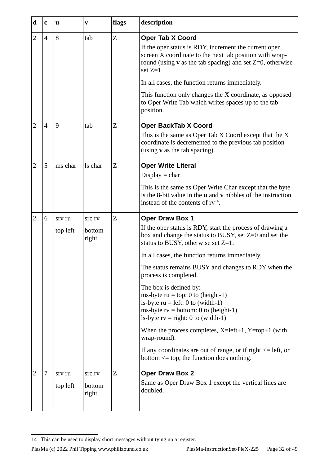<span id="page-31-4"></span><span id="page-31-3"></span><span id="page-31-2"></span><span id="page-31-1"></span>

| d              | C              | u        | V               | flags | description                                                                                                                                                                                         |
|----------------|----------------|----------|-----------------|-------|-----------------------------------------------------------------------------------------------------------------------------------------------------------------------------------------------------|
| 2              | $\overline{4}$ | 8        | tab             | Z     | <b>Oper Tab X Coord</b>                                                                                                                                                                             |
|                |                |          |                 |       | If the oper status is RDY, increment the current oper<br>screen X coordinate to the next tab position with wrap-<br>round (using $\bf{v}$ as the tab spacing) and set Z=0, otherwise<br>set $Z=1$ . |
|                |                |          |                 |       | In all cases, the function returns immediately.                                                                                                                                                     |
|                |                |          |                 |       | This function only changes the X coordinate, as opposed<br>to Oper Write Tab which writes spaces up to the tab<br>position.                                                                         |
| $\overline{2}$ | $\overline{4}$ | 9        | tab             | Z     | <b>Oper BackTab X Coord</b>                                                                                                                                                                         |
|                |                |          |                 |       | This is the same as Oper Tab $X$ Coord except that the $X$<br>coordinate is decremented to the previous tab position<br>(using $\bf{v}$ as the tab spacing).                                        |
| $\overline{2}$ | 5              | ms char  | ls char         | Z     | <b>Oper Write Literal</b>                                                                                                                                                                           |
|                |                |          |                 |       | Display $=$ char                                                                                                                                                                                    |
|                |                |          |                 |       | This is the same as Oper Write Char except that the byte<br>is the 8-bit value in the $\bf{u}$ and $\bf{v}$ nibbles of the instruction<br>instead of the contents of $rv^{14}$ .                    |
| $\overline{2}$ | 6              | srv ru   | <b>STC TV</b>   | Z     | <b>Oper Draw Box 1</b>                                                                                                                                                                              |
|                |                | top left | bottom<br>right |       | If the oper status is RDY, start the process of drawing a<br>box and change the status to BUSY, set Z=0 and set the<br>status to BUSY, otherwise set $Z=1$ .                                        |
|                |                |          |                 |       | In all cases, the function returns immediately.                                                                                                                                                     |
|                |                |          |                 |       | The status remains BUSY and changes to RDY when the<br>process is completed.                                                                                                                        |
|                |                |          |                 |       | The box is defined by:<br>ms-byte $ru = top$ : 0 to (height-1)<br>ls-byte $ru = left: 0 to (width-1)$<br>ms-byte $rv = bottom: 0$ to (height-1)<br>ls-byte $rv = right: 0$ to (width-1)             |
|                |                |          |                 |       | When the process completes, $X = left+1$ , $Y = top+1$ (with<br>wrap-round).                                                                                                                        |
|                |                |          |                 |       | If any coordinates are out of range, or if right $\leq$ left, or<br>bottom $\leq$ top, the function does nothing.                                                                                   |
| 2              | 7              | srv ru   | <b>STC TV</b>   | Z     | <b>Oper Draw Box 2</b>                                                                                                                                                                              |
|                |                | top left | bottom<br>right |       | Same as Oper Draw Box 1 except the vertical lines are<br>doubled.                                                                                                                                   |

<span id="page-31-5"></span><span id="page-31-0"></span><sup>14</sup> This can be used to display short messages without tying up a register.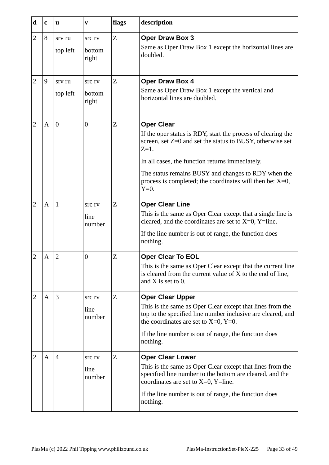<span id="page-32-6"></span><span id="page-32-5"></span><span id="page-32-4"></span><span id="page-32-3"></span><span id="page-32-2"></span><span id="page-32-1"></span><span id="page-32-0"></span>

| d              | $\mathbf c$  | u              | V                | flags | description                                                                                                                                                            |
|----------------|--------------|----------------|------------------|-------|------------------------------------------------------------------------------------------------------------------------------------------------------------------------|
| $\overline{2}$ | 8            | srv ru         | src rv           | Z     | <b>Oper Draw Box 3</b><br>Same as Oper Draw Box 1 except the horizontal lines are                                                                                      |
|                |              | top left       | bottom<br>right  |       | doubled.                                                                                                                                                               |
| $\overline{2}$ | 9            | srv ru         | <b>STC TV</b>    | Z     | <b>Oper Draw Box 4</b>                                                                                                                                                 |
|                |              | top left       | bottom<br>right  |       | Same as Oper Draw Box 1 except the vertical and<br>horizontal lines are doubled.                                                                                       |
| $\overline{2}$ | $\mathbf{A}$ | $\overline{0}$ | $\boldsymbol{0}$ | Z     | <b>Oper Clear</b>                                                                                                                                                      |
|                |              |                |                  |       | If the oper status is RDY, start the process of clearing the<br>screen, set Z=0 and set the status to BUSY, otherwise set<br>$Z=1$ .                                   |
|                |              |                |                  |       | In all cases, the function returns immediately.                                                                                                                        |
|                |              |                |                  |       | The status remains BUSY and changes to RDY when the<br>process is completed; the coordinates will then be: $X=0$ ,<br>$Y=0.$                                           |
| $\overline{2}$ | $\mathbf{A}$ | $\mathbf{1}$   | <b>SrC rv</b>    | Z     | <b>Oper Clear Line</b>                                                                                                                                                 |
|                |              |                | line<br>number   |       | This is the same as Oper Clear except that a single line is<br>cleared, and the coordinates are set to $X=0$ , $Y=$ line.                                              |
|                |              |                |                  |       | If the line number is out of range, the function does<br>nothing.                                                                                                      |
| $\overline{2}$ | A            | $\overline{2}$ | $\boldsymbol{0}$ | Z     | <b>Oper Clear To EOL</b>                                                                                                                                               |
|                |              |                |                  |       | This is the same as Oper Clear except that the current line<br>is cleared from the current value of X to the end of line,<br>and $X$ is set to 0.                      |
| $\overline{2}$ | $\mathbf{A}$ | 3              | <b>STC TV</b>    | Z     | <b>Oper Clear Upper</b>                                                                                                                                                |
|                |              |                | line<br>number   |       | This is the same as Oper Clear except that lines from the<br>top to the specified line number inclusive are cleared, and<br>the coordinates are set to $X=0$ , $Y=0$ . |
|                |              |                |                  |       | If the line number is out of range, the function does<br>nothing.                                                                                                      |
| $\overline{2}$ | $\mathbf{A}$ | $\overline{4}$ | <b>STC TV</b>    | Z     | <b>Oper Clear Lower</b>                                                                                                                                                |
|                |              |                | line<br>number   |       | This is the same as Oper Clear except that lines from the<br>specified line number to the bottom are cleared, and the<br>coordinates are set to $X=0$ , $Y=$ line.     |
|                |              |                |                  |       | If the line number is out of range, the function does<br>nothing.                                                                                                      |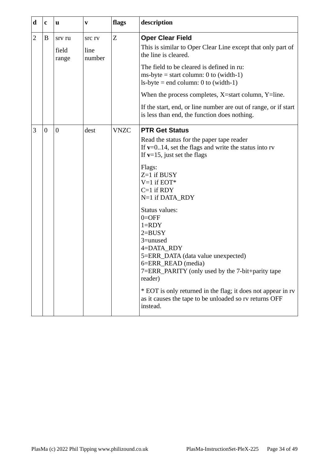<span id="page-33-1"></span><span id="page-33-0"></span>

| d              | $\mathbf{C}$   | u                        | V                               | flags       | description                                                                                                                                                                                                                                                                                                                                                                                                                                                                                                                                                                                           |
|----------------|----------------|--------------------------|---------------------------------|-------------|-------------------------------------------------------------------------------------------------------------------------------------------------------------------------------------------------------------------------------------------------------------------------------------------------------------------------------------------------------------------------------------------------------------------------------------------------------------------------------------------------------------------------------------------------------------------------------------------------------|
| $\overline{2}$ | B              | srv ru<br>field<br>range | <b>STC TV</b><br>line<br>number | Z           | <b>Oper Clear Field</b><br>This is similar to Oper Clear Line except that only part of<br>the line is cleared.<br>The field to be cleared is defined in ru:<br>$ms$ -byte = start column: 0 to (width-1)<br>$ls$ -byte = end column: 0 to (width-1)<br>When the process completes, X=start column, Y=line.<br>If the start, end, or line number are out of range, or if start<br>is less than end, the function does nothing.                                                                                                                                                                         |
| 3              | $\overline{0}$ | $\overline{0}$           | dest                            | <b>VNZC</b> | <b>PTR Get Status</b><br>Read the status for the paper tape reader<br>If $v=014$ , set the flags and write the status into rv<br>If $v=15$ , just set the flags<br>Flags:<br>$Z=1$ if BUSY<br>$V=1$ if EOT*<br>$C=1$ if $RDY$<br>N=1 if DATA_RDY<br>Status values:<br>$0 =$ OFF<br>$1 = RDY$<br>$2 = BUSY$<br>3=unused<br>4=DATA_RDY<br>5=ERR_DATA (data value unexpected)<br>6=ERR_READ (media)<br>7=ERR_PARITY (only used by the 7-bit+parity tape<br>reader)<br>* EOT is only returned in the flag; it does not appear in rv<br>as it causes the tape to be unloaded so rv returns OFF<br>instead. |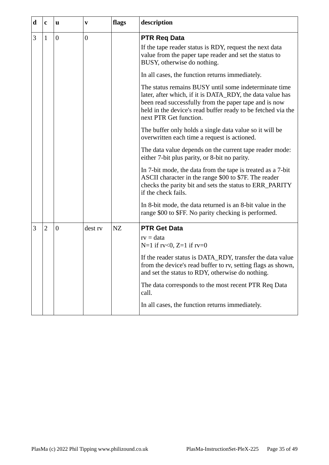<span id="page-34-1"></span><span id="page-34-0"></span>

| d | C              | u              | V                | flags | description                                                                                                                                                                                                                                                           |
|---|----------------|----------------|------------------|-------|-----------------------------------------------------------------------------------------------------------------------------------------------------------------------------------------------------------------------------------------------------------------------|
| 3 | $\mathbf{1}$   | $\overline{0}$ | $\boldsymbol{0}$ |       | <b>PTR Req Data</b>                                                                                                                                                                                                                                                   |
|   |                |                |                  |       | If the tape reader status is RDY, request the next data<br>value from the paper tape reader and set the status to<br>BUSY, otherwise do nothing.                                                                                                                      |
|   |                |                |                  |       | In all cases, the function returns immediately.                                                                                                                                                                                                                       |
|   |                |                |                  |       | The status remains BUSY until some indeterminate time<br>later, after which, if it is DATA_RDY, the data value has<br>been read successfully from the paper tape and is now<br>held in the device's read buffer ready to be fetched via the<br>next PTR Get function. |
|   |                |                |                  |       | The buffer only holds a single data value so it will be<br>overwritten each time a request is actioned.                                                                                                                                                               |
|   |                |                |                  |       | The data value depends on the current tape reader mode:<br>either 7-bit plus parity, or 8-bit no parity.                                                                                                                                                              |
|   |                |                |                  |       | In 7-bit mode, the data from the tape is treated as a 7-bit<br>ASCII character in the range \$00 to \$7F. The reader<br>checks the parity bit and sets the status to ERR_PARITY<br>if the check fails.                                                                |
|   |                |                |                  |       | In 8-bit mode, the data returned is an 8-bit value in the<br>range \$00 to \$FF. No parity checking is performed.                                                                                                                                                     |
| 3 | $\overline{2}$ | $\overline{0}$ | dest rv          | NZ    | <b>PTR Get Data</b>                                                                                                                                                                                                                                                   |
|   |                |                |                  |       | $rv = data$<br>$N=1$ if rv<0, Z=1 if rv=0                                                                                                                                                                                                                             |
|   |                |                |                  |       | If the reader status is DATA_RDY, transfer the data value<br>from the device's read buffer to rv, setting flags as shown,<br>and set the status to RDY, otherwise do nothing.                                                                                         |
|   |                |                |                  |       | The data corresponds to the most recent PTR Req Data<br>call.                                                                                                                                                                                                         |
|   |                |                |                  |       | In all cases, the function returns immediately.                                                                                                                                                                                                                       |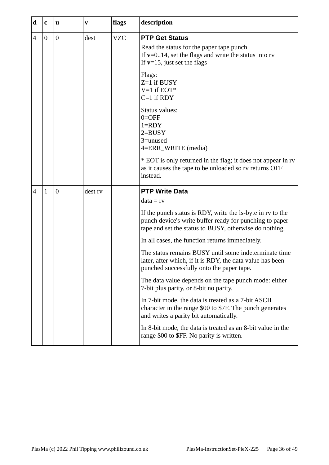<span id="page-35-1"></span><span id="page-35-0"></span>

| d              | $\mathbf{C}$ | u                | V       | flags      | description                                                                                                                                                                      |
|----------------|--------------|------------------|---------|------------|----------------------------------------------------------------------------------------------------------------------------------------------------------------------------------|
| $\overline{4}$ | $\mathbf{0}$ | $\boldsymbol{0}$ | dest    | <b>VZC</b> | <b>PTP Get Status</b><br>Read the status for the paper tape punch<br>If $v=0.14$ , set the flags and write the status into rv<br>If $v=15$ , just set the flags                  |
|                |              |                  |         |            | Flags:<br>Z=1 if BUSY<br>$V=1$ if EOT*<br>$C=1$ if $RDY$                                                                                                                         |
|                |              |                  |         |            | Status values:<br>$0 =$ OFF<br>$1 = RDY$<br>$2 = BUSY$<br>3=unused<br>4=ERR_WRITE (media)                                                                                        |
|                |              |                  |         |            | * EOT is only returned in the flag; it does not appear in rv<br>as it causes the tape to be unloaded so rv returns OFF<br>instead.                                               |
| $\overline{4}$ | $\mathbf{1}$ | $\mathbf{0}$     | dest rv |            | <b>PTP Write Data</b>                                                                                                                                                            |
|                |              |                  |         |            | $data = rv$                                                                                                                                                                      |
|                |              |                  |         |            | If the punch status is RDY, write the ls-byte in rv to the<br>punch device's write buffer ready for punching to paper-<br>tape and set the status to BUSY, otherwise do nothing. |
|                |              |                  |         |            | In all cases, the function returns immediately.                                                                                                                                  |
|                |              |                  |         |            | The status remains BUSY until some indeterminate time<br>later, after which, if it is RDY, the data value has been<br>punched successfully onto the paper tape.                  |
|                |              |                  |         |            | The data value depends on the tape punch mode: either<br>7-bit plus parity, or 8-bit no parity.                                                                                  |
|                |              |                  |         |            | In 7-bit mode, the data is treated as a 7-bit ASCII<br>character in the range \$00 to \$7F. The punch generates<br>and writes a parity bit automatically.                        |
|                |              |                  |         |            | In 8-bit mode, the data is treated as an 8-bit value in the<br>range \$00 to \$FF. No parity is written.                                                                         |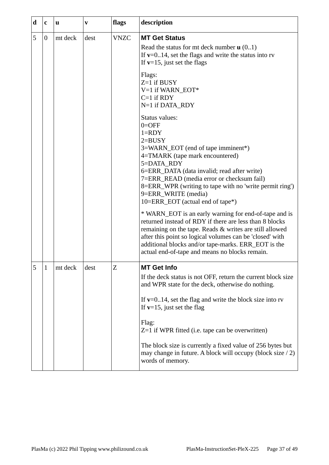<span id="page-36-1"></span><span id="page-36-0"></span>

| d | C                | u       | $\mathbf{v}$ | flags       | description                                                                                                                                                                                                                                                                                                                                                     |
|---|------------------|---------|--------------|-------------|-----------------------------------------------------------------------------------------------------------------------------------------------------------------------------------------------------------------------------------------------------------------------------------------------------------------------------------------------------------------|
| 5 | $\boldsymbol{0}$ | mt deck | dest         | <b>VNZC</b> | <b>MT Get Status</b><br>Read the status for mt deck number $\mathbf{u}$ (01)<br>If $v=0.14$ , set the flags and write the status into rv<br>If $v=15$ , just set the flags                                                                                                                                                                                      |
|   |                  |         |              |             | Flags:<br>$Z=1$ if BUSY<br>V=1 if WARN_EOT*<br>$C=1$ if $RDY$<br>N=1 if DATA_RDY                                                                                                                                                                                                                                                                                |
|   |                  |         |              |             | Status values:<br>$0 =$ OFF<br>$1 = RDY$<br>$2 = BUSY$<br>3=WARN_EOT (end of tape imminent*)<br>4=TMARK (tape mark encountered)<br>5=DATA RDY<br>6=ERR_DATA (data invalid; read after write)<br>7=ERR_READ (media error or checksum fail)<br>8=ERR_WPR (writing to tape with no 'write permit ring')<br>9=ERR_WRITE (media)<br>10=ERR_EOT (actual end of tape*) |
|   |                  |         |              |             | * WARN_EOT is an early warning for end-of-tape and is<br>returned instead of RDY if there are less than 8 blocks<br>remaining on the tape. Reads & writes are still allowed<br>after this point so logical volumes can be 'closed' with<br>additional blocks and/or tape-marks. ERR_EOT is the<br>actual end-of-tape and means no blocks remain.                |
| 5 | $\mathbf{1}$     | mt deck | dest         | Z           | <b>MT Get Info</b>                                                                                                                                                                                                                                                                                                                                              |
|   |                  |         |              |             | If the deck status is not OFF, return the current block size<br>and WPR state for the deck, otherwise do nothing.                                                                                                                                                                                                                                               |
|   |                  |         |              |             | If $v=014$ , set the flag and write the block size into rv<br>If $v=15$ , just set the flag                                                                                                                                                                                                                                                                     |
|   |                  |         |              |             | Flag:<br>$Z=1$ if WPR fitted (i.e. tape can be overwritten)                                                                                                                                                                                                                                                                                                     |
|   |                  |         |              |             | The block size is currently a fixed value of 256 bytes but<br>may change in future. A block will occupy (block size / 2)<br>words of memory.                                                                                                                                                                                                                    |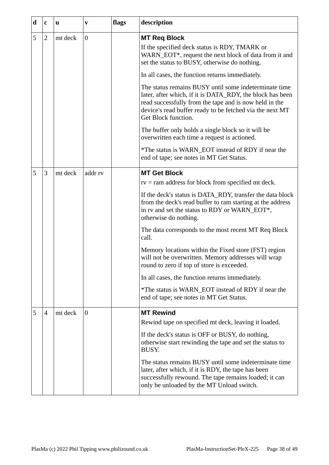<span id="page-37-2"></span><span id="page-37-1"></span><span id="page-37-0"></span>

| $\mathbf d$ | $\mathbf{C}$   | <b>u</b> | V              | flags | description                                                                                                                                                                                                                                                     |
|-------------|----------------|----------|----------------|-------|-----------------------------------------------------------------------------------------------------------------------------------------------------------------------------------------------------------------------------------------------------------------|
| 5           | $\overline{2}$ | mt deck  | $\overline{0}$ |       | <b>MT Req Block</b><br>If the specified deck status is RDY, TMARK or<br>WARN_EOT*, request the next block of data from it and<br>set the status to BUSY, otherwise do nothing.                                                                                  |
|             |                |          |                |       | In all cases, the function returns immediately.                                                                                                                                                                                                                 |
|             |                |          |                |       | The status remains BUSY until some indeterminate time<br>later, after which, if it is DATA_RDY, the block has been<br>read successfully from the tape and is now held in the<br>device's read buffer ready to be fetched via the next MT<br>Get Block function. |
|             |                |          |                |       | The buffer only holds a single block so it will be<br>overwritten each time a request is actioned.                                                                                                                                                              |
|             |                |          |                |       | *The status is WARN_EOT instead of RDY if near the<br>end of tape; see notes in MT Get Status.                                                                                                                                                                  |
| 5           | 3              | mt deck  | addr rv        |       | <b>MT Get Block</b>                                                                                                                                                                                                                                             |
|             |                |          |                |       | $rv = ram$ address for block from specified mt deck.                                                                                                                                                                                                            |
|             |                |          |                |       | If the deck's status is DATA_RDY, transfer the data block<br>from the deck's read buffer to ram starting at the address<br>in rv and set the status to RDY or WARN_EOT*,<br>otherwise do nothing.                                                               |
|             |                |          |                |       | The data corresponds to the most recent MT Req Block<br>call.                                                                                                                                                                                                   |
|             |                |          |                |       | Memory locations within the Fixed store (FST) region<br>will not be overwritten. Memory addresses will wrap<br>round to zero if top of store is exceeded.                                                                                                       |
|             |                |          |                |       | In all cases, the function returns immediately.                                                                                                                                                                                                                 |
|             |                |          |                |       | *The status is WARN_EOT instead of RDY if near the<br>end of tape; see notes in MT Get Status.                                                                                                                                                                  |
| 5           | $\overline{4}$ | mt deck  | $\overline{0}$ |       | <b>MT Rewind</b>                                                                                                                                                                                                                                                |
|             |                |          |                |       | Rewind tape on specified mt deck, leaving it loaded.                                                                                                                                                                                                            |
|             |                |          |                |       | If the deck's status is OFF or BUSY, do nothing,<br>otherwise start rewinding the tape and set the status to<br>BUSY.                                                                                                                                           |
|             |                |          |                |       | The status remains BUSY until some indeterminate time<br>later, after which, if it is RDY, the tape has been<br>successfully rewound. The tape remains loaded; it can<br>only be unloaded by the MT Unload switch.                                              |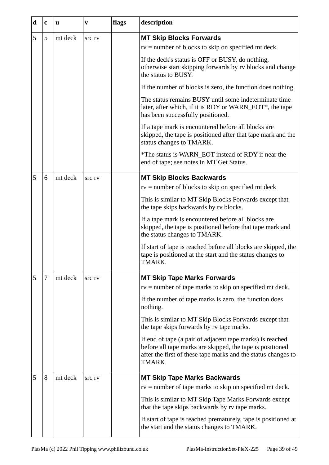<span id="page-38-3"></span><span id="page-38-2"></span><span id="page-38-1"></span><span id="page-38-0"></span>

| d | $\mathbf c$ | u       | V             | flags | description                                                                                                                                                                                       |
|---|-------------|---------|---------------|-------|---------------------------------------------------------------------------------------------------------------------------------------------------------------------------------------------------|
| 5 | 5           | mt deck | src rv        |       | <b>MT Skip Blocks Forwards</b><br>$rv =$ number of blocks to skip on specified mt deck.                                                                                                           |
|   |             |         |               |       | If the deck's status is OFF or BUSY, do nothing,<br>otherwise start skipping forwards by rv blocks and change<br>the status to BUSY.                                                              |
|   |             |         |               |       | If the number of blocks is zero, the function does nothing.                                                                                                                                       |
|   |             |         |               |       | The status remains BUSY until some indeterminate time<br>later, after which, if it is RDY or WARN_EOT*, the tape<br>has been successfully positioned.                                             |
|   |             |         |               |       | If a tape mark is encountered before all blocks are<br>skipped, the tape is positioned after that tape mark and the<br>status changes to TMARK.                                                   |
|   |             |         |               |       | *The status is WARN_EOT instead of RDY if near the<br>end of tape; see notes in MT Get Status.                                                                                                    |
| 5 | 6           | mt deck | <b>STC TV</b> |       | <b>MT Skip Blocks Backwards</b>                                                                                                                                                                   |
|   |             |         |               |       | $rv =$ number of blocks to skip on specified mt deck                                                                                                                                              |
|   |             |         |               |       | This is similar to MT Skip Blocks Forwards except that<br>the tape skips backwards by rv blocks.                                                                                                  |
|   |             |         |               |       | If a tape mark is encountered before all blocks are<br>skipped, the tape is positioned before that tape mark and<br>the status changes to TMARK.                                                  |
|   |             |         |               |       | If start of tape is reached before all blocks are skipped, the<br>tape is positioned at the start and the status changes to<br>TMARK.                                                             |
| 5 | 7           | mt deck | <b>STC TV</b> |       | <b>MT Skip Tape Marks Forwards</b>                                                                                                                                                                |
|   |             |         |               |       | $rv$ = number of tape marks to skip on specified mt deck.                                                                                                                                         |
|   |             |         |               |       | If the number of tape marks is zero, the function does<br>nothing.                                                                                                                                |
|   |             |         |               |       | This is similar to MT Skip Blocks Forwards except that<br>the tape skips forwards by rv tape marks.                                                                                               |
|   |             |         |               |       | If end of tape (a pair of adjacent tape marks) is reached<br>before all tape marks are skipped, the tape is positioned<br>after the first of these tape marks and the status changes to<br>TMARK. |
| 5 | 8           | mt deck | <b>STC TV</b> |       | <b>MT Skip Tape Marks Backwards</b>                                                                                                                                                               |
|   |             |         |               |       | $rv =$ number of tape marks to skip on specified mt deck.                                                                                                                                         |
|   |             |         |               |       | This is similar to MT Skip Tape Marks Forwards except<br>that the tape skips backwards by rv tape marks.                                                                                          |
|   |             |         |               |       | If start of tape is reached prematurely, tape is positioned at<br>the start and the status changes to TMARK.                                                                                      |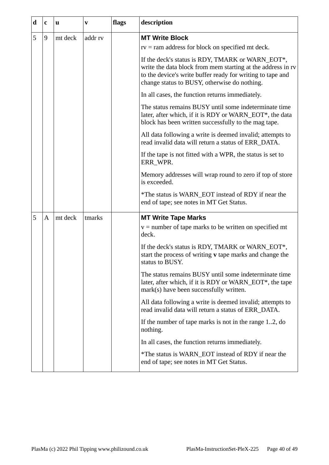<span id="page-39-1"></span><span id="page-39-0"></span>

| d | $\mathbf{C}$ | u       | V       | flags | description                                                                                                                                                                                                                   |
|---|--------------|---------|---------|-------|-------------------------------------------------------------------------------------------------------------------------------------------------------------------------------------------------------------------------------|
| 5 | 9            | mt deck | addr rv |       | <b>MT Write Block</b>                                                                                                                                                                                                         |
|   |              |         |         |       | $rv = ram$ address for block on specified mt deck.                                                                                                                                                                            |
|   |              |         |         |       | If the deck's status is RDY, TMARK or WARN_EOT*,<br>write the data block from mem starting at the address in rv<br>to the device's write buffer ready for writing to tape and<br>change status to BUSY, otherwise do nothing. |
|   |              |         |         |       | In all cases, the function returns immediately.                                                                                                                                                                               |
|   |              |         |         |       | The status remains BUSY until some indeterminate time<br>later, after which, if it is RDY or WARN_EOT*, the data<br>block has been written successfully to the mag tape.                                                      |
|   |              |         |         |       | All data following a write is deemed invalid; attempts to<br>read invalid data will return a status of ERR_DATA.                                                                                                              |
|   |              |         |         |       | If the tape is not fitted with a WPR, the status is set to<br>ERR_WPR.                                                                                                                                                        |
|   |              |         |         |       | Memory addresses will wrap round to zero if top of store<br>is exceeded.                                                                                                                                                      |
|   |              |         |         |       | *The status is WARN_EOT instead of RDY if near the<br>end of tape; see notes in MT Get Status.                                                                                                                                |
| 5 | $\mathbf{A}$ | mt deck | tmarks  |       | <b>MT Write Tape Marks</b>                                                                                                                                                                                                    |
|   |              |         |         |       | $v =$ number of tape marks to be written on specified mt<br>deck.                                                                                                                                                             |
|   |              |         |         |       | If the deck's status is RDY, TMARK or WARN_EOT*,<br>start the process of writing v tape marks and change the<br>status to BUSY.                                                                                               |
|   |              |         |         |       | The status remains BUSY until some indeterminate time<br>later, after which, if it is RDY or WARN_EOT*, the tape<br>mark(s) have been successfully written.                                                                   |
|   |              |         |         |       | All data following a write is deemed invalid; attempts to<br>read invalid data will return a status of ERR_DATA.                                                                                                              |
|   |              |         |         |       | If the number of tape marks is not in the range 12, do<br>nothing.                                                                                                                                                            |
|   |              |         |         |       | In all cases, the function returns immediately.                                                                                                                                                                               |
|   |              |         |         |       | *The status is WARN_EOT instead of RDY if near the<br>end of tape; see notes in MT Get Status.                                                                                                                                |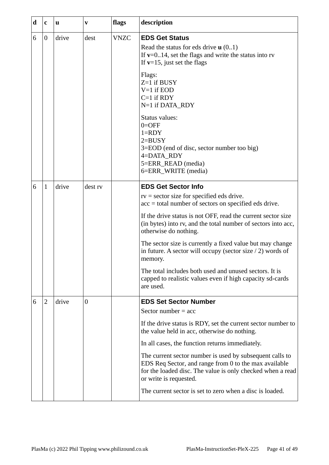<span id="page-40-2"></span><span id="page-40-1"></span><span id="page-40-0"></span>

| d | $\mathbf{C}$     | u     | V                | flags       | description                                                                                                                                                                                               |
|---|------------------|-------|------------------|-------------|-----------------------------------------------------------------------------------------------------------------------------------------------------------------------------------------------------------|
| 6 | $\boldsymbol{0}$ | drive | dest             | <b>VNZC</b> | <b>EDS Get Status</b><br>Read the status for eds drive $\mathbf{u}(01)$<br>If $v=0.14$ , set the flags and write the status into rv<br>If $v=15$ , just set the flags                                     |
|   |                  |       |                  |             | Flags:<br>$Z=1$ if BUSY<br>$V=1$ if EOD<br>$C=1$ if $RDY$<br>N=1 if DATA_RDY                                                                                                                              |
|   |                  |       |                  |             | Status values:<br>$0 =$ OFF<br>$1 = RDY$<br>$2 = BUSY$<br>3=EOD (end of disc, sector number too big)<br>4=DATA_RDY<br>5=ERR_READ (media)<br>6=ERR_WRITE (media)                                           |
| 6 | $\mathbf{1}$     | drive | dest rv          |             | <b>EDS Get Sector Info</b><br>$rv$ = sector size for specified eds drive.<br>$acc = total number of sectors on specified eds drive.$                                                                      |
|   |                  |       |                  |             | If the drive status is not OFF, read the current sector size<br>(in bytes) into rv, and the total number of sectors into acc,<br>otherwise do nothing.                                                    |
|   |                  |       |                  |             | The sector size is currently a fixed value but may change<br>in future. A sector will occupy (sector size $/$ 2) words of<br>memory.                                                                      |
|   |                  |       |                  |             | The total includes both used and unused sectors. It is<br>capped to realistic values even if high capacity sd-cards<br>are used.                                                                          |
| 6 | $\overline{2}$   | drive | $\boldsymbol{0}$ |             | <b>EDS Set Sector Number</b><br>Sector number $=$ acc                                                                                                                                                     |
|   |                  |       |                  |             | If the drive status is RDY, set the current sector number to<br>the value held in acc, otherwise do nothing.                                                                                              |
|   |                  |       |                  |             | In all cases, the function returns immediately.                                                                                                                                                           |
|   |                  |       |                  |             | The current sector number is used by subsequent calls to<br>EDS Req Sector, and range from 0 to the max available<br>for the loaded disc. The value is only checked when a read<br>or write is requested. |
|   |                  |       |                  |             | The current sector is set to zero when a disc is loaded.                                                                                                                                                  |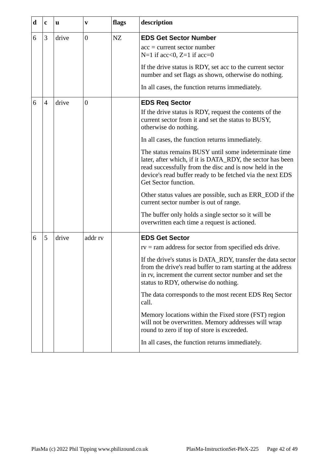<span id="page-41-2"></span><span id="page-41-1"></span><span id="page-41-0"></span>

| d | $\mathbf{C}$   | u     | V                | flags | description                                                                                                                                                                                                                                                        |
|---|----------------|-------|------------------|-------|--------------------------------------------------------------------------------------------------------------------------------------------------------------------------------------------------------------------------------------------------------------------|
| 6 | 3              | drive | $\boldsymbol{0}$ | NZ    | <b>EDS Get Sector Number</b><br>$acc = current sector number$<br>$N=1$ if acc<0, Z=1 if acc=0                                                                                                                                                                      |
|   |                |       |                  |       | If the drive status is RDY, set acc to the current sector<br>number and set flags as shown, otherwise do nothing.                                                                                                                                                  |
|   |                |       |                  |       | In all cases, the function returns immediately.                                                                                                                                                                                                                    |
| 6 | $\overline{4}$ | drive | $\boldsymbol{0}$ |       | <b>EDS Req Sector</b>                                                                                                                                                                                                                                              |
|   |                |       |                  |       | If the drive status is RDY, request the contents of the<br>current sector from it and set the status to BUSY,<br>otherwise do nothing.                                                                                                                             |
|   |                |       |                  |       | In all cases, the function returns immediately.                                                                                                                                                                                                                    |
|   |                |       |                  |       | The status remains BUSY until some indeterminate time<br>later, after which, if it is DATA_RDY, the sector has been<br>read successfully from the disc and is now held in the<br>device's read buffer ready to be fetched via the next EDS<br>Get Sector function. |
|   |                |       |                  |       | Other status values are possible, such as ERR_EOD if the<br>current sector number is out of range.                                                                                                                                                                 |
|   |                |       |                  |       | The buffer only holds a single sector so it will be<br>overwritten each time a request is actioned.                                                                                                                                                                |
| 6 | 5              | drive | addr rv          |       | <b>EDS Get Sector</b>                                                                                                                                                                                                                                              |
|   |                |       |                  |       | $rv$ = ram address for sector from specified eds drive.                                                                                                                                                                                                            |
|   |                |       |                  |       | If the drive's status is DATA_RDY, transfer the data sector<br>from the drive's read buffer to ram starting at the address<br>in rv, increment the current sector number and set the<br>status to RDY, otherwise do nothing.                                       |
|   |                |       |                  |       | The data corresponds to the most recent EDS Req Sector<br>call.                                                                                                                                                                                                    |
|   |                |       |                  |       | Memory locations within the Fixed store (FST) region<br>will not be overwritten. Memory addresses will wrap<br>round to zero if top of store is exceeded.                                                                                                          |
|   |                |       |                  |       | In all cases, the function returns immediately.                                                                                                                                                                                                                    |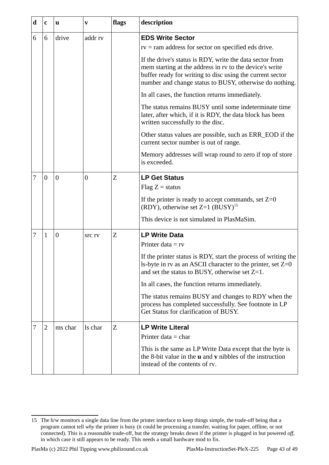<span id="page-42-3"></span><span id="page-42-2"></span>

| d | $\mathbf c$      | u              | V                | flags | description                                                                                                                                                                                                                                 |
|---|------------------|----------------|------------------|-------|---------------------------------------------------------------------------------------------------------------------------------------------------------------------------------------------------------------------------------------------|
| 6 | 6                | drive          | addr rv          |       | <b>EDS Write Sector</b><br>$rv = ram$ address for sector on specified eds drive.                                                                                                                                                            |
|   |                  |                |                  |       | If the drive's status is RDY, write the data sector from<br>mem starting at the address in rv to the device's write<br>buffer ready for writing to disc using the current sector<br>number and change status to BUSY, otherwise do nothing. |
|   |                  |                |                  |       | In all cases, the function returns immediately.                                                                                                                                                                                             |
|   |                  |                |                  |       | The status remains BUSY until some indeterminate time<br>later, after which, if it is RDY, the data block has been<br>written successfully to the disc.                                                                                     |
|   |                  |                |                  |       | Other status values are possible, such as ERR_EOD if the<br>current sector number is out of range.                                                                                                                                          |
|   |                  |                |                  |       | Memory addresses will wrap round to zero if top of store<br>is exceeded.                                                                                                                                                                    |
| 7 | $\boldsymbol{0}$ | $\overline{0}$ | $\boldsymbol{0}$ | Z     | <b>LP Get Status</b>                                                                                                                                                                                                                        |
|   |                  |                |                  |       | Flag $Z =$ status                                                                                                                                                                                                                           |
|   |                  |                |                  |       | If the printer is ready to accept commands, set $Z=0$<br>(RDY), otherwise set $Z=1$ (BUSY) <sup>15</sup>                                                                                                                                    |
|   |                  |                |                  |       | This device is not simulated in PlasMaSim.                                                                                                                                                                                                  |
| 7 | $\mathbf{1}$     | $\overline{0}$ | <b>STC TV</b>    | Z     | <b>LP Write Data</b>                                                                                                                                                                                                                        |
|   |                  |                |                  |       | Printer data $=$ rv                                                                                                                                                                                                                         |
|   |                  |                |                  |       | If the printer status is RDY, start the process of writing the<br>ls-byte in rv as an ASCII character to the printer, set $Z=0$<br>and set the status to BUSY, otherwise set $Z=1$ .                                                        |
|   |                  |                |                  |       | In all cases, the function returns immediately.                                                                                                                                                                                             |
|   |                  |                |                  |       | The status remains BUSY and changes to RDY when the<br>process has completed successfully. See footnote in LP<br>Get Status for clarification of BUSY.                                                                                      |
| 7 | $\overline{2}$   | ms char        | ls char          | Z     | <b>LP Write Literal</b>                                                                                                                                                                                                                     |
|   |                  |                |                  |       | Printer data $=$ char                                                                                                                                                                                                                       |
|   |                  |                |                  |       | This is the same as LP Write Data except that the byte is<br>the 8-bit value in the <b>u</b> and <b>v</b> nibbles of the instruction<br>instead of the contents of rv.                                                                      |

<span id="page-42-4"></span><span id="page-42-1"></span><span id="page-42-0"></span><sup>15</sup> The h/w monitors a single data line from the printer interface to keep things simple, the trade-off being that a program cannot tell *why* the printer is busy (it could be processing a transfer, waiting for paper, offline, or not connected). This is a reasonable trade-off, but the strategy breaks down if the printer is plugged in but powered *off,* in which case it still appears to be ready. This needs a small hardware mod to fix.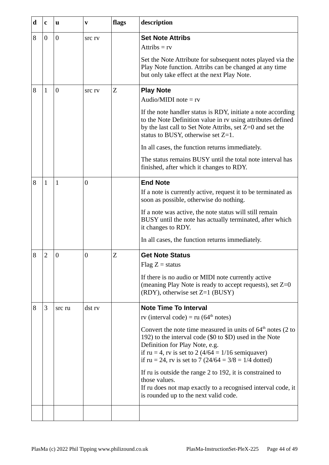<span id="page-43-4"></span><span id="page-43-3"></span><span id="page-43-2"></span><span id="page-43-1"></span><span id="page-43-0"></span>

| $\mathbf d$ | $\mathbf c$    | u                | V                | flags | description                                                                                                                                                                                                                       |
|-------------|----------------|------------------|------------------|-------|-----------------------------------------------------------------------------------------------------------------------------------------------------------------------------------------------------------------------------------|
| 8           | $\overline{0}$ | $\overline{0}$   | <b>STC TV</b>    |       | <b>Set Note Attribs</b><br>Attribs $= rv$                                                                                                                                                                                         |
|             |                |                  |                  |       | Set the Note Attribute for subsequent notes played via the<br>Play Note function. Attribs can be changed at any time<br>but only take effect at the next Play Note.                                                               |
| 8           | $\mathbf{1}$   | $\overline{0}$   | <b>SIC IV</b>    | Z     | <b>Play Note</b><br>Audio/MIDI note = $rv$                                                                                                                                                                                        |
|             |                |                  |                  |       | If the note handler status is RDY, initiate a note according<br>to the Note Definition value in rv using attributes defined<br>by the last call to Set Note Attribs, set Z=0 and set the<br>status to BUSY, otherwise set $Z=1$ . |
|             |                |                  |                  |       | In all cases, the function returns immediately.                                                                                                                                                                                   |
|             |                |                  |                  |       | The status remains BUSY until the total note interval has<br>finished, after which it changes to RDY.                                                                                                                             |
| 8           | $\mathbf{1}$   | $\mathbf{1}$     | $\overline{0}$   |       | <b>End Note</b>                                                                                                                                                                                                                   |
|             |                |                  |                  |       | If a note is currently active, request it to be terminated as<br>soon as possible, otherwise do nothing.                                                                                                                          |
|             |                |                  |                  |       | If a note was active, the note status will still remain<br>BUSY until the note has actually terminated, after which<br>it changes to RDY.                                                                                         |
|             |                |                  |                  |       | In all cases, the function returns immediately.                                                                                                                                                                                   |
| 8           | $\overline{2}$ | $\boldsymbol{0}$ | $\boldsymbol{0}$ | Z     | <b>Get Note Status</b>                                                                                                                                                                                                            |
|             |                |                  |                  |       | Flag $Z =$ status                                                                                                                                                                                                                 |
|             |                |                  |                  |       | If there is no audio or MIDI note currently active<br>(meaning Play Note is ready to accept requests), set $Z=0$<br>(RDY), otherwise set Z=1 (BUSY)                                                                               |
| 8           | 3              | src ru           | dst rv           |       | <b>Note Time To Interval</b>                                                                                                                                                                                                      |
|             |                |                  |                  |       | rv (interval code) = ru ( $64th$ notes)                                                                                                                                                                                           |
|             |                |                  |                  |       | Convert the note time measured in units of $64th$ notes (2 to<br>192) to the interval code (\$0 to \$D) used in the Note<br>Definition for Play Note, e.g.                                                                        |
|             |                |                  |                  |       | if ru = 4, rv is set to 2 ( $4/64 = 1/16$ semiquaver)<br>if ru = 24, rv is set to 7 (24/64 = $3/8$ = 1/4 dotted)                                                                                                                  |
|             |                |                  |                  |       | If ru is outside the range 2 to 192, it is constrained to<br>those values.                                                                                                                                                        |
|             |                |                  |                  |       | If ru does not map exactly to a recognised interval code, it<br>is rounded up to the next valid code.                                                                                                                             |
|             |                |                  |                  |       |                                                                                                                                                                                                                                   |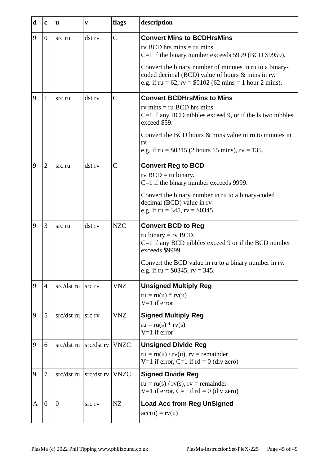<span id="page-44-8"></span><span id="page-44-7"></span><span id="page-44-6"></span><span id="page-44-5"></span><span id="page-44-4"></span><span id="page-44-3"></span><span id="page-44-2"></span><span id="page-44-1"></span><span id="page-44-0"></span>

| $\mathbf d$  | $\mathbf c$    | u              | V             | flags          | description                                                                                                                                                                                                                                                                                              |
|--------------|----------------|----------------|---------------|----------------|----------------------------------------------------------------------------------------------------------------------------------------------------------------------------------------------------------------------------------------------------------------------------------------------------------|
| 9            | $\mathbf{0}$   | src ru         | dst rv        | $\overline{C}$ | <b>Convert Mins to BCDHrsMins</b><br>$rv$ BCD hrs mins $= ru$ mins.<br>C=1 if the binary number exceeds 5999 (BCD \$9959).<br>Convert the binary number of minutes in ru to a binary-<br>coded decimal (BCD) value of hours & mins in rv.<br>e.g. if $ru = 62$ , $rv = $0102$ (62 mins = 1 hour 2 mins). |
| 9            | $\mathbf{1}$   | src ru         | dst rv        | $\mathsf{C}$   | <b>Convert BCDHrsMins to Mins</b><br>rv mins $=$ ru BCD hrs mins.<br>$C=1$ if any BCD nibbles exceed 9, or if the ls two nibbles<br>exceed \$59.<br>Convert the BCD hours & mins value in ru to minutes in<br>rv.<br>e.g. if ru = $$0215$ (2 hours 15 mins), rv = 135.                                   |
| 9            | $\overline{2}$ | src ru         | dst rv        | $\mathsf{C}$   | <b>Convert Reg to BCD</b><br>$rv$ BCD = $ru$ binary.<br>C=1 if the binary number exceeds 9999.<br>Convert the binary number in ru to a binary-coded<br>decimal (BCD) value in rv.<br>e.g. if $ru = 345$ , $rv = $0345$ .                                                                                 |
| 9            | 3              | src ru         | dst rv        | <b>NZC</b>     | <b>Convert BCD to Reg</b><br>ru binary $=$ rv BCD.<br>C=1 if any BCD nibbles exceed 9 or if the BCD number<br>exceeds \$9999.<br>Convert the BCD value in ru to a binary number in rv.<br>e.g. if $ru = $0345$ , $rv = 345$ .                                                                            |
| 9            | $\overline{4}$ | src/dst ru     | src rv        | <b>VNZ</b>     | <b>Unsigned Multiply Reg</b><br>$ru = ru(u) * rv(u)$<br>$V=1$ if error                                                                                                                                                                                                                                   |
| 9            | 5              | src/dst ru     | src rv        | <b>VNZ</b>     | <b>Signed Multiply Reg</b><br>$ru = ru(s) * rv(s)$<br>$V=1$ if error                                                                                                                                                                                                                                     |
| 9            | 6              | src/dst ru     | $src/dst$ rv  | <b>VNZC</b>    | <b>Unsigned Divide Reg</b><br>$ru = ru(u) / rv(u)$ , $rv = remainder$<br>V=1 if error, C=1 if $rd = 0$ (div zero)                                                                                                                                                                                        |
| 9            | 7              | src/dst ru     | $src/dst$ rv  | <b>VNZC</b>    | <b>Signed Divide Reg</b><br>$ru = ru(s) / rv(s)$ , $rv = remainder$<br>V=1 if error, $C=1$ if $rd = 0$ (div zero)                                                                                                                                                                                        |
| $\mathbf{A}$ | $\mathbf{0}$   | $\overline{0}$ | <b>STC TV</b> | NZ             | <b>Load Acc from Reg UnSigned</b><br>$acc(u) = rv(u)$                                                                                                                                                                                                                                                    |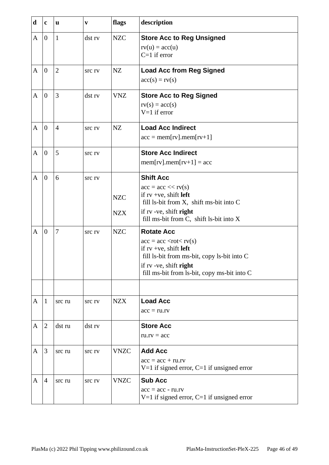<span id="page-45-10"></span><span id="page-45-9"></span><span id="page-45-8"></span><span id="page-45-7"></span><span id="page-45-6"></span><span id="page-45-5"></span><span id="page-45-4"></span><span id="page-45-3"></span><span id="page-45-2"></span><span id="page-45-1"></span><span id="page-45-0"></span>

| $\mathbf d$  | $\mathbf c$      | u              | V             | flags                    | description                                                                                                                                                                                         |
|--------------|------------------|----------------|---------------|--------------------------|-----------------------------------------------------------------------------------------------------------------------------------------------------------------------------------------------------|
| A            | $\vert 0 \vert$  | $\mathbf{1}$   | dst rv        | <b>NZC</b>               | <b>Store Acc to Reg Unsigned</b><br>$rv(u) = acc(u)$<br>$C=1$ if error                                                                                                                              |
| $\mathbf{A}$ | $\vert 0 \vert$  | $\overline{2}$ | <b>STC TV</b> | NZ                       | <b>Load Acc from Reg Signed</b><br>$acc(s) = rv(s)$                                                                                                                                                 |
| A            | $\boldsymbol{0}$ | 3              | dst rv        | <b>VNZ</b>               | <b>Store Acc to Reg Signed</b><br>$rv(s) = acc(s)$<br>$V=1$ if error                                                                                                                                |
| A            | $\boldsymbol{0}$ | $\overline{4}$ | <b>STC TV</b> | NZ                       | <b>Load Acc Indirect</b><br>$acc = mem[rv] . mem[rv+1]$                                                                                                                                             |
| $\mathbf{A}$ | $\vert 0 \vert$  | 5              | <b>SrC rv</b> |                          | <b>Store Acc Indirect</b><br>$\text{mem}[rv].\text{mem}[rv+1] = \text{acc}$                                                                                                                         |
| $\mathbf{A}$ | $\mathbf{0}$     | 6              | <b>SrC rv</b> | <b>NZC</b><br><b>NZX</b> | <b>Shift Acc</b><br>$acc = acc \ll rv(s)$<br>if $rv + ve$ , shift left<br>fill ls-bit from X, shift ms-bit into C<br>if rv -ve, shift right<br>fill ms-bit from C, shift ls-bit into X              |
| A            | $\overline{0}$   | 7              | <b>STC TV</b> | <b>NZC</b>               | <b>Rotate Acc</b><br>$acc = acc < rot < rv(s)$<br>if $rv + ve$ , shift left<br>fill ls-bit from ms-bit, copy ls-bit into C<br>if rv -ve, shift right<br>fill ms-bit from ls-bit, copy ms-bit into C |
| $\mathbf{A}$ | $\mathbf{1}$     | src ru         | <b>STC TV</b> | <b>NZX</b>               | <b>Load Acc</b><br>$acc = ru.rv$                                                                                                                                                                    |
| A            | $\overline{2}$   | dst ru         | dst rv        |                          | <b>Store Acc</b><br>$ru.rv = acc$                                                                                                                                                                   |
| A            | 3                | src ru         | <b>STC TV</b> | <b>VNZC</b>              | <b>Add Acc</b><br>$acc = acc + ru.rv$<br>$V=1$ if signed error, $C=1$ if unsigned error                                                                                                             |
| $\mathbf{A}$ | $\overline{4}$   | src ru         | <b>STC TV</b> | <b>VNZC</b>              | <b>Sub Acc</b><br>$acc = acc - ru.rv$<br>$V=1$ if signed error, $C=1$ if unsigned error                                                                                                             |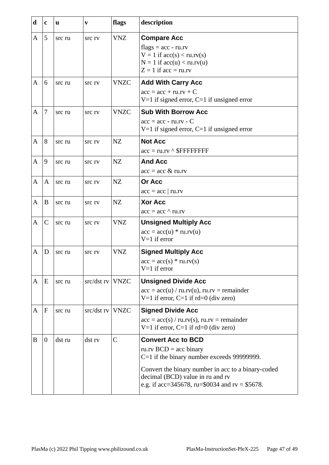<span id="page-46-11"></span><span id="page-46-10"></span><span id="page-46-9"></span><span id="page-46-8"></span><span id="page-46-7"></span><span id="page-46-6"></span><span id="page-46-5"></span><span id="page-46-4"></span><span id="page-46-3"></span><span id="page-46-2"></span><span id="page-46-1"></span><span id="page-46-0"></span>

| d            | $\mathbf c$      | u      | $\mathbf{v}$  | flags        | description                                                                                                                                                                                                                                     |
|--------------|------------------|--------|---------------|--------------|-------------------------------------------------------------------------------------------------------------------------------------------------------------------------------------------------------------------------------------------------|
| $\mathbf{A}$ | 5                | src ru | src rv        | <b>VNZ</b>   | <b>Compare Acc</b><br>flags = $acc - ru.rv$<br>$V = 1$ if $acc(s) < ru.rv(s)$<br>$N = 1$ if acc(u) < ru.rv(u)<br>$Z = 1$ if acc = ru.rv                                                                                                         |
| A            | 6                | src ru | <b>STC TV</b> | <b>VNZC</b>  | <b>Add With Carry Acc</b><br>$acc = acc + ru.rv + C$<br>$V=1$ if signed error, $C=1$ if unsigned error                                                                                                                                          |
| $\mathbf{A}$ | 7                | src ru | <b>SrC rv</b> | <b>VNZC</b>  | <b>Sub With Borrow Acc</b><br>$acc = acc - ru.rv - C$<br>$V=1$ if signed error, $C=1$ if unsigned error                                                                                                                                         |
| $\mathbf{A}$ | 8                | src ru | src rv        | NZ           | <b>Not Acc</b><br>$acc = ru.rv \wedge \$FFFFFFFF$                                                                                                                                                                                               |
| $\mathbf{A}$ | $\overline{9}$   | src ru | <b>SrC rv</b> | NZ           | <b>And Acc</b><br>$acc = acc & ru.rv$                                                                                                                                                                                                           |
| $\mathbf{A}$ | $\mathbf{A}$     | src ru | <b>STC TV</b> | NZ           | <b>Or Acc</b><br>$acc = acc   ru.rv$                                                                                                                                                                                                            |
| A            | B                | src ru | <b>STC TV</b> | NZ           | <b>Xor Acc</b><br>$acc = acc \land ru.rv$                                                                                                                                                                                                       |
| A            | $\mathsf{C}$     | src ru | <b>SIC IV</b> | VNZ          | <b>Unsigned Multiply Acc</b><br>$acc = acc(u) * ru.rv(u)$<br>$V=1$ if error                                                                                                                                                                     |
| A            | D                | src ru | <b>STC TV</b> | VNZ          | <b>Signed Multiply Acc</b><br>$acc = acc(s) * ru.rv(s)$<br>$V=1$ if error                                                                                                                                                                       |
| A            | ΙE               | src ru | src/dst rv    | <b>VNZC</b>  | <b>Unsigned Divide Acc</b><br>$acc = acc(u) / ru.rv(u), ru.rv = remainder$<br>V=1 if error, $C=1$ if $rd=0$ (div zero)                                                                                                                          |
| A            | $\mathbf F$      | src ru | $src/dst$ rv  | <b>VNZC</b>  | <b>Signed Divide Acc</b><br>$acc = acc(s) / ru.rv(s), ru.rv = remainder$<br>V=1 if error, $C=1$ if rd=0 (div zero)                                                                                                                              |
| B            | $\boldsymbol{0}$ | dst ru | dst rv        | $\mathsf{C}$ | <b>Convert Acc to BCD</b><br>ru.rv $BCD = acc binary$<br>C=1 if the binary number exceeds 99999999.<br>Convert the binary number in acc to a binary-coded<br>decimal (BCD) value in ru and rv<br>e.g. if acc=345678, ru=\$0034 and rv = \$5678. |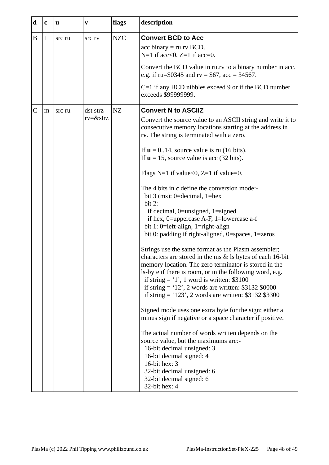<span id="page-47-1"></span><span id="page-47-0"></span>

| d            | $\mathbf{C}$ | u      | V             | flags      | description                                                                                                                                                                                                                                                                                                                                                                                                |
|--------------|--------------|--------|---------------|------------|------------------------------------------------------------------------------------------------------------------------------------------------------------------------------------------------------------------------------------------------------------------------------------------------------------------------------------------------------------------------------------------------------------|
| B            | $\mathbf{1}$ | src ru | src rv        | <b>NZC</b> | <b>Convert BCD to Acc</b><br>$acc binary = ru.rv BCD.$<br>$N=1$ if acc<0, Z=1 if acc=0.<br>Convert the BCD value in ru.rv to a binary number in acc.<br>e.g. if ru=\$0345 and rv = \$67, acc = 34567.<br>C=1 if any BCD nibbles exceed 9 or if the BCD number                                                                                                                                              |
| $\mathsf{C}$ | m            | src ru | dst strz      | NZ         | exceeds \$99999999.<br><b>Convert N to ASCIIZ</b>                                                                                                                                                                                                                                                                                                                                                          |
|              |              |        | $rv = 8s$ trz |            | Convert the source value to an ASCII string and write it to<br>consecutive memory locations starting at the address in<br>rv. The string is terminated with a zero.                                                                                                                                                                                                                                        |
|              |              |        |               |            | If $\mathbf{u} = 0.14$ , source value is ru (16 bits).<br>If $u = 15$ , source value is acc (32 bits).                                                                                                                                                                                                                                                                                                     |
|              |              |        |               |            | Flags N=1 if value<0, Z=1 if value=0.                                                                                                                                                                                                                                                                                                                                                                      |
|              |              |        |               |            | The 4 bits in c define the conversion mode:-<br>bit $3$ (ms): 0=decimal, 1=hex<br>bit 2:<br>if decimal, 0=unsigned, 1=signed<br>if hex, $0$ =uppercase A-F, $1$ =lowercase a-f<br>bit 1: 0=left-align, 1=right-align<br>bit 0: padding if right-aligned, 0=spaces, 1=zeros                                                                                                                                 |
|              |              |        |               |            | Strings use the same format as the Plasm assembler;<br>characters are stored in the ms & ls bytes of each 16-bit<br>memory location. The zero terminator is stored in the<br>ls-byte if there is room, or in the following word, e.g.<br>if string $=$ '1', 1 word is written: \$3100<br>if string $=$ '12', 2 words are written: \$3132 \$0000<br>if string $=$ '123', 2 words are written: \$3132 \$3300 |
|              |              |        |               |            | Signed mode uses one extra byte for the sign; either a<br>minus sign if negative or a space character if positive.                                                                                                                                                                                                                                                                                         |
|              |              |        |               |            | The actual number of words written depends on the<br>source value, but the maximums are:-<br>16-bit decimal unsigned: 3<br>16-bit decimal signed: 4<br>16-bit hex: 3<br>32-bit decimal unsigned: 6<br>32-bit decimal signed: 6<br>32-bit hex: 4                                                                                                                                                            |